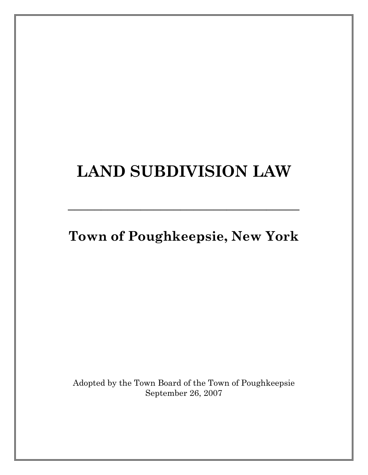# **LAND SUBDIVISION LAW**

**Town of Poughkeepsie, New York** 

**\_\_\_\_\_\_\_\_\_\_\_\_\_\_\_\_\_\_\_\_\_\_\_\_\_\_\_\_\_\_\_\_\_\_\_** 

Adopted by the Town Board of the Town of Poughkeepsie September 26, 2007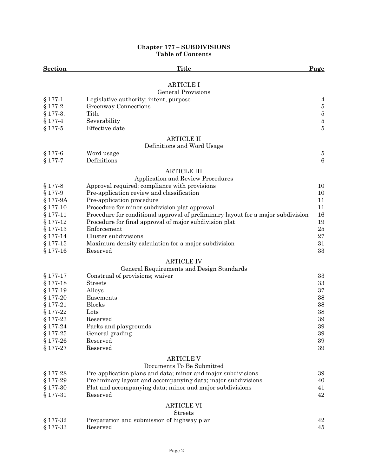#### **Chapter 177 – SUBDIVISIONS Table of Contents**

| <b>Section</b> | <b>Title</b>                                                                     | Page     |
|----------------|----------------------------------------------------------------------------------|----------|
|                | <b>ARTICLE I</b>                                                                 |          |
|                | <b>General Provisions</b>                                                        |          |
| $§ 177-1$      | Legislative authority; intent, purpose                                           | 4        |
| $§ 177-2$      | Greenway Connections                                                             | $\bf 5$  |
| $§ 177-3.$     | Title                                                                            | $\bf 5$  |
| $§ 177-4$      | Severability                                                                     | $\bf 5$  |
| $§ 177-5$      | Effective date                                                                   | $\bf 5$  |
|                |                                                                                  |          |
|                | <b>ARTICLE II</b>                                                                |          |
| $$177-6$       | Definitions and Word Usage                                                       | $\bf 5$  |
| $§ 177-7$      | Word usage<br>Definitions                                                        | $\,6\,$  |
|                |                                                                                  |          |
|                | <b>ARTICLE III</b>                                                               |          |
|                | Application and Review Procedures                                                |          |
| $§ 177-8$      | Approval required; compliance with provisions                                    | 10       |
| $§ 177-9$      | Pre-application review and classification                                        | 10       |
| § 177-9A       | Pre-application procedure                                                        | 11       |
| $$177-10$      | Procedure for minor subdivision plat approval                                    | 11       |
| $$177-11$      | Procedure for conditional approval of preliminary layout for a major subdivision | 16       |
| $$177-12$      | Procedure for final approval of major subdivision plat                           | 19       |
| $$177-13$      | Enforcement                                                                      | $\bf 25$ |
| $$177-14$      | Cluster subdivisions                                                             | 27       |
| $$177-15$      | Maximum density calculation for a major subdivision                              | 31       |
| $$177-16$      | Reserved                                                                         | 33       |
|                | <b>ARTICLE IV</b>                                                                |          |
|                | General Requirements and Design Standards                                        |          |
| $§ 177-17$     | Construal of provisions; waiver                                                  | 33       |
| $§ 177-18$     | <b>Streets</b>                                                                   | $33\,$   |
| $§ 177-19$     | Alleys                                                                           | 37       |
| $§ 177-20$     | Easements                                                                        | 38       |
| $§ 177-21$     | <b>Blocks</b>                                                                    | 38       |
| $$177-22$      | Lots                                                                             | 38       |
| $§ 177-23$     | Reserved                                                                         | 39       |
| $§ 177-24$     | Parks and playgrounds                                                            | 39       |
| $$177-25$      | General grading                                                                  | $39\,$   |
| $§ 177-26$     | Reserved                                                                         | 39       |
| $§ 177-27$     | Reserved                                                                         | 39       |
|                | <b>ARTICLE V</b>                                                                 |          |
|                | Documents To Be Submitted                                                        |          |
| $§ 177-28$     | Pre-application plans and data; minor and major subdivisions                     | 39       |
| $§ 177-29$     | Preliminary layout and accompanying data; major subdivisions                     | 40       |
| $$177-30$      | Plat and accompanying data; minor and major subdivisions                         | 41       |
| $§ 177-31$     | Reserved                                                                         | 42       |
|                | <b>ARTICLE VI</b>                                                                |          |
|                | <b>Streets</b>                                                                   |          |
| $$177-32$      | Preparation and submission of highway plan                                       | 42       |
| $§ 177-33$     | Reserved                                                                         | 45       |
|                |                                                                                  |          |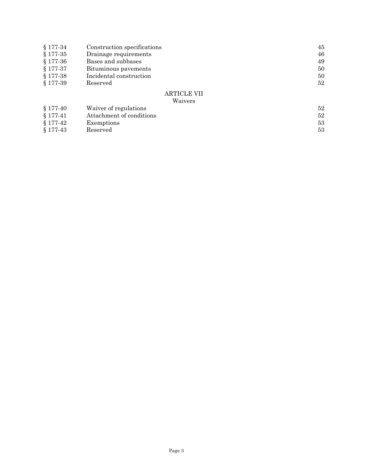| $$177-34$  | Construction specifications | 45 |
|------------|-----------------------------|----|
| $§ 177-35$ | Drainage requirements       | 46 |
| $§ 177-36$ | Bases and subbases          | 49 |
| $§ 177-37$ | Bituminous pavements        | 50 |
| $§ 177-38$ | Incidental construction     | 50 |
| $§ 177-39$ | Reserved                    | 52 |
|            | <b>ARTICLE VII</b>          |    |
|            | Waivers                     |    |
| $§ 177-40$ | Waiver of regulations       | 52 |
| $§ 177-41$ | Attachment of conditions    | 52 |

- $\S 177-42$  Exemptions 53
- $\S 177-43$  Reserved 53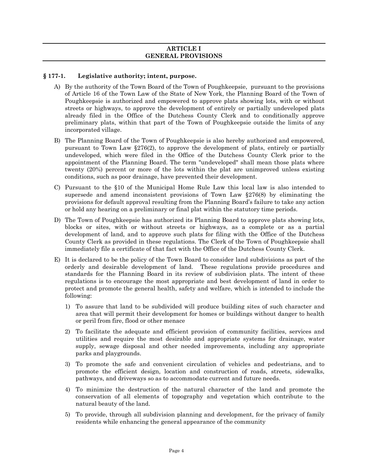#### **ARTICLE I GENERAL PROVISIONS**

# **§ 177-1. Legislative authority; intent, purpose.**

- A) By the authority of the Town Board of the Town of Poughkeepsie, pursuant to the provisions of Article 16 of the Town Law of the State of New York, the Planning Board of the Town of Poughkeepsie is authorized and empowered to approve plats showing lots, with or without streets or highways, to approve the development of entirely or partially undeveloped plats already filed in the Office of the Dutchess County Clerk and to conditionally approve preliminary plats, within that part of the Town of Poughkeepsie outside the limits of any incorporated village.
- B) The Planning Board of the Town of Poughkeepsie is also hereby authorized and empowered, pursuant to Town Law §276(2), to approve the development of plats, entirely or partially undeveloped, which were filed in the Office of the Dutchess County Clerk prior to the appointment of the Planning Board. The term "undeveloped" shall mean those plats where twenty (20%) percent or more of the lots within the plat are unimproved unless existing conditions, such as poor drainage, have prevented their development.
- C) Pursuant to the §10 of the Municipal Home Rule Law this local law is also intended to supersede and amend inconsistent provisions of Town Law §276(8) by eliminating the provisions for default approval resulting from the Planning Board's failure to take any action or hold any hearing on a preliminary or final plat within the statutory time periods.
- D) The Town of Poughkeepsie has authorized its Planning Board to approve plats showing lots, blocks or sites, with or without streets or highways, as a complete or as a partial development of land, and to approve such plats for filing with the Office of the Dutchess County Clerk as provided in these regulations. The Clerk of the Town of Poughkeepsie shall immediately file a certificate of that fact with the Office of the Dutchess County Clerk.
- E) It is declared to be the policy of the Town Board to consider land subdivisions as part of the orderly and desirable development of land. These regulations provide procedures and standards for the Planning Board in its review of subdivision plats. The intent of these regulations is to encourage the most appropriate and best development of land in order to protect and promote the general health, safety and welfare, which is intended to include the following:
	- 1) To assure that land to be subdivided will produce building sites of such character and area that will permit their development for homes or buildings without danger to health or peril from fire, flood or other menace
	- 2) To facilitate the adequate and efficient provision of community facilities, services and utilities and require the most desirable and appropriate systems for drainage, water supply, sewage disposal and other needed improvements, including any appropriate parks and playgrounds.
	- 3) To promote the safe and convenient circulation of vehicles and pedestrians, and to promote the efficient design, location and construction of roads, streets, sidewalks, pathways, and driveways so as to accommodate current and future needs.
	- 4) To minimize the destruction of the natural character of the land and promote the conservation of all elements of topography and vegetation which contribute to the natural beauty of the land.
	- 5) To provide, through all subdivision planning and development, for the privacy of family residents while enhancing the general appearance of the community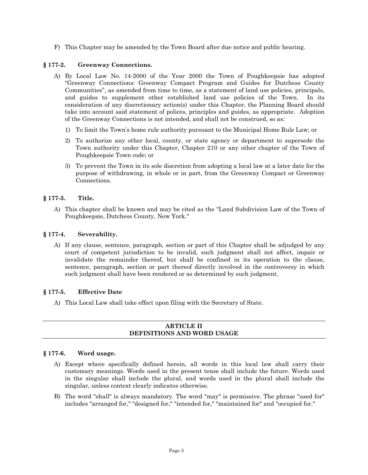F) This Chapter may be amended by the Town Board after due notice and public hearing.

# **§ 177-2. Greenway Connections.**

- A) By Local Law No. 14-2000 of the Year 2000 the Town of Poughkeepsie has adopted "Greenway Connections: Greenway Compact Program and Guides for Dutchess County Communities", as amended from time to time, as a statement of land use policies, principals, and guides to supplement other established land use policies of the Town. In its consideration of any discretionary action(s) under this Chapter, the Planning Board should take into account said statement of polices, principles and guides, as appropriate. Adoption of the Greenway Connections is not intended, and shall not be construed, so as:
	- 1) To limit the Town's home rule authority pursuant to the Municipal Home Rule Law; or
	- 2) To authorize any other local, county, or state agency or department to supersede the Town authority under this Chapter, Chapter 210 or any other chapter of the Town of Poughkeepsie Town code; or
	- 3) To prevent the Town in its sole discretion from adopting a local law at a later date for the purpose of withdrawing, in whole or in part, from the Greenway Compact or Greenway Connections.

# **§ 177-3. Title.**

A) This chapter shall be known and may be cited as the "Land Subdivision Law of the Town of Poughkeepsie, Dutchess County, New York."

# **§ 177-4. Severability.**

A) If any clause, sentence, paragraph, section or part of this Chapter shall be adjudged by any court of competent jurisdiction to be invalid, such judgment shall not affect, impair or invalidate the remainder thereof, but shall be confined in its operation to the clause, sentence, paragraph, section or part thereof directly involved in the controversy in which such judgment shall have been rendered or as determined by such judgment.

# **§ 177-5. Effective Date**

A) This Local Law shall take effect upon filing with the Secretary of State.

# **ARTICLE II DEFINITIONS AND WORD USAGE**

# **§ 177-6. Word usage.**

- A) Except where specifically defined herein, all words in this local law shall carry their customary meanings. Words used in the present tense shall include the future. Words used in the singular shall include the plural, and words used in the plural shall include the singular, unless context clearly indicates otherwise.
- B) The word "shall" is always mandatory. The word "may" is permissive. The phrase "used for" includes "arranged for," "designed for," "intended for," "maintained for" and "occupied for."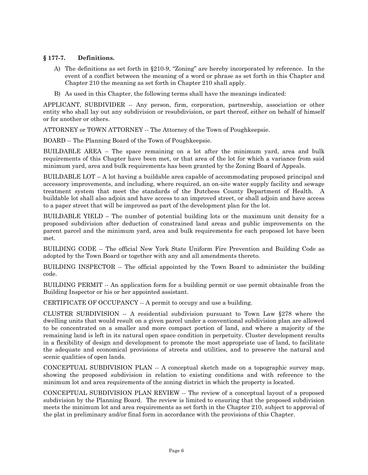# **§ 177-7. Definitions.**

- A) The definitions as set forth in §210-9, "Zoning" are hereby incorporated by reference. In the event of a conflict between the meaning of a word or phrase as set forth in this Chapter and Chapter 210 the meaning as set forth in Chapter 210 shall apply.
- B) As used in this Chapter, the following terms shall have the meanings indicated:

APPLICANT, SUBDIVIDER -- Any person, firm, corporation, partnership, association or other entity who shall lay out any subdivision or resubdivision, or part thereof, either on behalf of himself or for another or others.

ATTORNEY or TOWN ATTORNEY -- The Attorney of the Town of Poughkeepsie.

BOARD -- The Planning Board of the Town of Poughkeepsie.

BUILDABLE AREA – The space remaining on a lot after the minimum yard, area and bulk requirements of this Chapter have been met, or that area of the lot for which a variance from said minimum yard, area and bulk requirements has been granted by the Zoning Board of Appeals.

BUILDABLE LOT  $- A$  lot having a buildable area capable of accommodating proposed principal and accessory improvements, and including, where required, an on-site water supply facility and sewage treatment system that meet the standards of the Dutchess County Department of Health. A buildable lot shall also adjoin and have access to an improved street, or shall adjoin and have access to a paper street that will be improved as part of the development plan for the lot.

BUILDABLE YIELD – The number of potential building lots or the maximum unit density for a proposed subdivision after deduction of constrained land areas and public improvements on the parent parcel and the minimum yard, area and bulk requirements for each proposed lot have been met.

BUILDING CODE -- The official New York State Uniform Fire Prevention and Building Code as adopted by the Town Board or together with any and all amendments thereto.

BUILDING INSPECTOR -- The official appointed by the Town Board to administer the building code.

BUILDING PERMIT -- An application form for a building permit or use permit obtainable from the Building Inspector or his or her appointed assistant.

CERTIFICATE OF OCCUPANCY -- A permit to occupy and use a building.

CLUSTER SUBDIVISION -- A residential subdivision pursuant to Town Law §278 where the dwelling units that would result on a given parcel under a conventional subdivision plan are allowed to be concentrated on a smaller and more compact portion of land, and where a majority of the remaining land is left in its natural open space condition in perpetuity. Cluster development results in a flexibility of design and development to promote the most appropriate use of land, to facilitate the adequate and economical provisions of streets and utilities, and to preserve the natural and scenic qualities of open lands.

CONCEPTUAL SUBDIVISION PLAN -- A conceptual sketch made on a topographic survey map, showing the proposed subdivision in relation to existing conditions and with reference to the minimum lot and area requirements of the zoning district in which the property is located.

CONCEPTUAL SUBDIVISION PLAN REVIEW -- The review of a conceptual layout of a proposed subdivision by the Planning Board. The review is limited to ensuring that the proposed subdivision meets the minimum lot and area requirements as set forth in the Chapter 210, subject to approval of the plat in preliminary and/or final form in accordance with the provisions of this Chapter.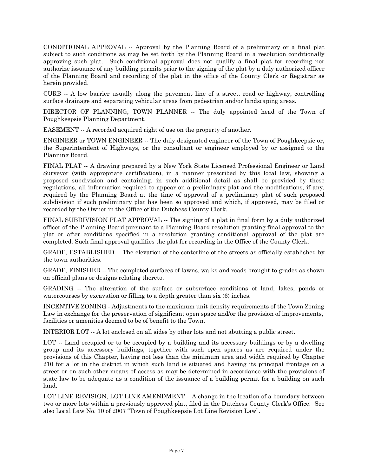CONDITIONAL APPROVAL -- Approval by the Planning Board of a preliminary or a final plat subject to such conditions as may be set forth by the Planning Board in a resolution conditionally approving such plat. Such conditional approval does not qualify a final plat for recording nor authorize issuance of any building permits prior to the signing of the plat by a duly authorized officer of the Planning Board and recording of the plat in the office of the County Clerk or Registrar as herein provided.

CURB -- A low barrier usually along the pavement line of a street, road or highway, controlling surface drainage and separating vehicular areas from pedestrian and/or landscaping areas.

DIRECTOR OF PLANNING, TOWN PLANNER -- The duly appointed head of the Town of Poughkeepsie Planning Department.

EASEMENT -- A recorded acquired right of use on the property of another.

ENGINEER or TOWN ENGINEER -- The duly designated engineer of the Town of Poughkeepsie or, the Superintendent of Highways, or the consultant or engineer employed by or assigned to the Planning Board.

FINAL PLAT -- A drawing prepared by a New York State Licensed Professional Engineer or Land Surveyor (with appropriate certification), in a manner prescribed by this local law, showing a proposed subdivision and containing, in such additional detail as shall be provided by these regulations, all information required to appear on a preliminary plat and the modifications, if any, required by the Planning Board at the time of approval of a preliminary plat of such proposed subdivision if such preliminary plat has been so approved and which, if approved, may be filed or recorded by the Owner in the Office of the Dutchess County Clerk.

FINAL SUBDIVISION PLAT APPROVAL -- The signing of a plat in final form by a duly authorized officer of the Planning Board pursuant to a Planning Board resolution granting final approval to the plat or after conditions specified in a resolution granting conditional approval of the plat are completed. Such final approval qualifies the plat for recording in the Office of the County Clerk.

GRADE, ESTABLISHED -- The elevation of the centerline of the streets as officially established by the town authorities.

GRADE, FINISHED -- The completed surfaces of lawns, walks and roads brought to grades as shown on official plans or designs relating thereto.

GRADING -- The alteration of the surface or subsurface conditions of land, lakes, ponds or watercourses by excavation or filling to a depth greater than six (6) inches.

INCENTIVE ZONING - Adjustments to the maximum unit density requirements of the Town Zoning Law in exchange for the preservation of significant open space and/or the provision of improvements, facilities or amenities deemed to be of benefit to the Town.

INTERIOR LOT -- A lot enclosed on all sides by other lots and not abutting a public street.

LOT -- Land occupied or to be occupied by a building and its accessory buildings or by a dwelling group and its accessory buildings, together with such open spaces as are required under the provisions of this Chapter, having not less than the minimum area and width required by Chapter 210 for a lot in the district in which such land is situated and having its principal frontage on a street or on such other means of access as may be determined in accordance with the provisions of state law to be adequate as a condition of the issuance of a building permit for a building on such land.

LOT LINE REVISION, LOT LINE AMENDMENT – A change in the location of a boundary between two or more lots within a previously approved plat, filed in the Dutchess County Clerk's Office. See also Local Law No. 10 of 2007 "Town of Poughkeepsie Lot Line Revision Law".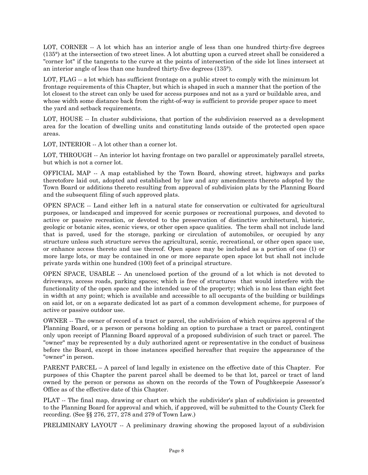LOT, CORNER -- A lot which has an interior angle of less than one hundred thirty-five degrees (135°) at the intersection of two street lines. A lot abutting upon a curved street shall be considered a "corner lot" if the tangents to the curve at the points of intersection of the side lot lines intersect at an interior angle of less than one hundred thirty-five degrees (135°).

LOT, FLAG  $-$  a lot which has sufficient frontage on a public street to comply with the minimum lot frontage requirements of this Chapter, but which is shaped in such a manner that the portion of the lot closest to the street can only be used for access purposes and not as a yard or buildable area, and whose width some distance back from the right-of-way is sufficient to provide proper space to meet the yard and setback requirements.

LOT, HOUSE -- In cluster subdivisions, that portion of the subdivision reserved as a development area for the location of dwelling units and constituting lands outside of the protected open space areas.

LOT, INTERIOR -- A lot other than a corner lot.

LOT, THROUGH -- An interior lot having frontage on two parallel or approximately parallel streets, but which is not a corner lot.

OFFICIAL MAP -- A map established by the Town Board, showing street, highways and parks theretofore laid out, adopted and established by law and any amendments thereto adopted by the Town Board or additions thereto resulting from approval of subdivision plats by the Planning Board and the subsequent filing of such approved plats.

OPEN SPACE -- Land either left in a natural state for conservation or cultivated for agricultural purposes, or landscaped and improved for scenic purposes or recreational purposes, and devoted to active or passive recreation, or devoted to the preservation of distinctive architectural, historic, geologic or botanic sites, scenic views, or other open space qualities. The term shall not include land that is paved, used for the storage, parking or circulation of automobiles, or occupied by any structure unless such structure serves the agricultural, scenic, recreational, or other open space use, or enhance access thereto and use thereof. Open space may be included as a portion of one (1) or more large lots, or may be contained in one or more separate open space lot but shall not include private yards within one hundred (100) feet of a principal structure.

OPEN SPACE, USABLE -- An unenclosed portion of the ground of a lot which is not devoted to driveways, access roads, parking spaces; which is free of structures that would interfere with the functionality of the open space and the intended use of the property; which is no less than eight feet in width at any point; which is available and accessible to all occupants of the building or buildings on said lot, or on a separate dedicated lot as part of a common development scheme, for purposes of active or passive outdoor use.

OWNER -- The owner of record of a tract or parcel, the subdivision of which requires approval of the Planning Board, or a person or persons holding an option to purchase a tract or parcel, contingent only upon receipt of Planning Board approval of a proposed subdivision of such tract or parcel. The "owner" may be represented by a duly authorized agent or representative in the conduct of business before the Board, except in those instances specified hereafter that require the appearance of the "owner" in person.

PARENT PARCEL – A parcel of land legally in existence on the effective date of this Chapter. For purposes of this Chapter the parent parcel shall be deemed to be that lot, parcel or tract of land owned by the person or persons as shown on the records of the Town of Poughkeepsie Assessor's Office as of the effective date of this Chapter.

PLAT -- The final map, drawing or chart on which the subdivider's plan of subdivision is presented to the Planning Board for approval and which, if approved, will be submitted to the County Clerk for recording. (See §§ 276, 277, 278 and 279 of Town Law.)

PRELIMINARY LAYOUT -- A preliminary drawing showing the proposed layout of a subdivision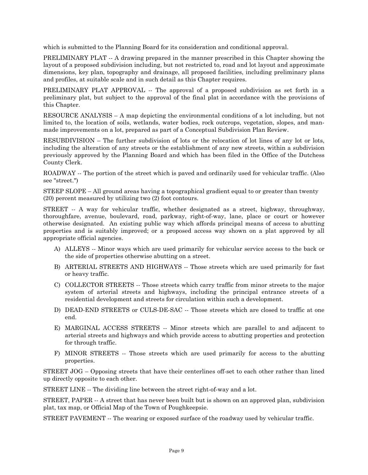which is submitted to the Planning Board for its consideration and conditional approval.

PRELIMINARY PLAT  $-$  A drawing prepared in the manner prescribed in this Chapter showing the layout of a proposed subdivision including, but not restricted to, road and lot layout and approximate dimensions, key plan, topography and drainage, all proposed facilities, including preliminary plans and profiles, at suitable scale and in such detail as this Chapter requires.

PRELIMINARY PLAT APPROVAL -- The approval of a proposed subdivision as set forth in a preliminary plat, but subject to the approval of the final plat in accordance with the provisions of this Chapter.

RESOURCE ANALYSIS – A map depicting the environmental conditions of a lot including, but not limited to, the location of soils, wetlands, water bodies, rock outcrops, vegetation, slopes, and manmade improvements on a lot, prepared as part of a Conceptual Subdivision Plan Review.

RESUBDIVISION – The further subdivision of lots or the relocation of lot lines of any lot or lots, including the alteration of any streets or the establishment of any new streets, within a subdivision previously approved by the Planning Board and which has been filed in the Office of the Dutchess County Clerk.

ROADWAY -- The portion of the street which is paved and ordinarily used for vehicular traffic. (Also see "street.")

STEEP SLOPE – All ground areas having a topographical gradient equal to or greater than twenty (20) percent measured by utilizing two (2) foot contours.

STREET -- A way for vehicular traffic, whether designated as a street, highway, throughway, thoroughfare, avenue, boulevard, road, parkway, right-of-way, lane, place or court or however otherwise designated. An existing public way which affords principal means of access to abutting properties and is suitably improved; or a proposed access way shown on a plat approved by all appropriate official agencies.

- A) ALLEYS -- Minor ways which are used primarily for vehicular service access to the back or the side of properties otherwise abutting on a street.
- B) ARTERIAL STREETS AND HIGHWAYS -- Those streets which are used primarily for fast or heavy traffic.
- C) COLLECTOR STREETS -- Those streets which carry traffic from minor streets to the major system of arterial streets and highways, including the principal entrance streets of a residential development and streets for circulation within such a development.
- D) DEAD-END STREETS or CULS-DE-SAC -- Those streets which are closed to traffic at one end.
- E) MARGINAL ACCESS STREETS -- Minor streets which are parallel to and adjacent to arterial streets and highways and which provide access to abutting properties and protection for through traffic.
- F) MINOR STREETS -- Those streets which are used primarily for access to the abutting properties.

STREET JOG – Opposing streets that have their centerlines off-set to each other rather than lined up directly opposite to each other.

STREET LINE -- The dividing line between the street right-of-way and a lot.

STREET, PAPER -- A street that has never been built but is shown on an approved plan, subdivision plat, tax map, or Official Map of the Town of Poughkeepsie.

STREET PAVEMENT -- The wearing or exposed surface of the roadway used by vehicular traffic.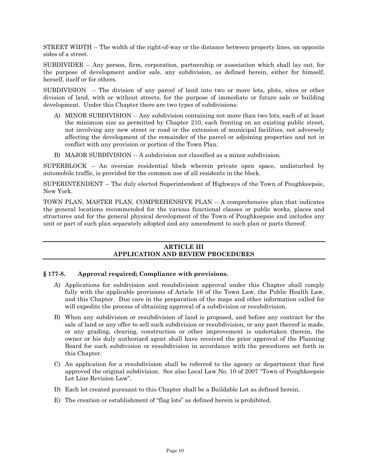STREET WIDTH -- The width of the right-of-way or the distance between property lines, on opposite sides of a street.

SUBDIVIDER -- Any person, firm, corporation, partnership or association which shall lay out, for the purpose of development and/or sale, any subdivision, as defined herein, either for himself, herself, itself or for others.

SUBDIVISION -- The division of any parcel of land into two or more lots, plots, sites or other division of land, with or without streets, for the purpose of immediate or future sale or building development. Under this Chapter there are two types of subdivisions:

- A) MINOR SUBDIVISION -- Any subdivision containing not more than two lots, each of at least the minimum size as permitted by Chapter 210, each fronting on an existing public street, not involving any new street or road or the extension of municipal facilities, not adversely affecting the development of the remainder of the parcel or adjoining properties and not in conflict with any provision or portion of the Town Plan.
- B) MAJOR SUBDIVISION -- A subdivision not classified as a minor subdivision.

SUPERBLOCK -- An oversize residential block wherein private open space, undisturbed by automobile traffic, is provided for the common use of all residents in the block.

SUPERINTENDENT -- The duly elected Superintendent of Highways of the Town of Poughkeepsie, New York.

TOWN PLAN, MASTER PLAN, COMPREHENSIVE PLAN -- A comprehensive plan that indicates the general locations recommended for the various functional classes or public works, places and structures and for the general physical development of the Town of Poughkeepsie and includes any unit or part of such plan separately adopted and any amendment to such plan or parts thereof.

# **ARTICLE III APPLICATION AND REVIEW PROCEDURES**

# **§ 177-8. Approval required; Compliance with provisions.**

- A) Applications for subdivision and resubdivision approval under this Chapter shall comply fully with the applicable provisions of Article 16 of the Town Law, the Public Health Law, and this Chapter. Due care in the preparation of the maps and other information called for will expedite the process of obtaining approval of a subdivision or resubdivision.
- B) When any subdivision or resubdivision of land is proposed, and before any contract for the sale of land or any offer to sell such subdivision or resubdivision, or any part thereof is made, or any grading, clearing, construction or other improvement is undertaken therein, the owner or his duly authorized agent shall have received the prior approval of the Planning Board for such subdivision or resubdivision in accordance with the procedures set forth in this Chapter.
- C) An application for a resubdivision shall be referred to the agency or department that first approved the original subdivision. See also Local Law No. 10 of 2007 "Town of Poughkeepsie Lot Line Revision Law".
- D) Each lot created pursuant to this Chapter shall be a Buildable Lot as defined herein.
- E) The creation or establishment of "flag lots" as defined herein is prohibited.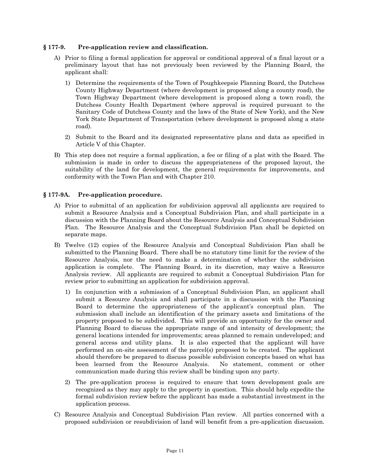#### **§ 177-9. Pre-application review and classification.**

- A) Prior to filing a formal application for approval or conditional approval of a final layout or a preliminary layout that has not previously been reviewed by the Planning Board, the applicant shall:
	- 1) Determine the requirements of the Town of Poughkeepsie Planning Board, the Dutchess County Highway Department (where development is proposed along a county road), the Town Highway Department (where development is proposed along a town road), the Dutchess County Health Department (where approval is required pursuant to the Sanitary Code of Dutchess County and the laws of the State of New York), and the New York State Department of Transportation (where development is proposed along a state road).
	- 2) Submit to the Board and its designated representative plans and data as specified in Article V of this Chapter.
- B) This step does not require a formal application, a fee or filing of a plat with the Board. The submission is made in order to discuss the appropriateness of the proposed layout, the suitability of the land for development, the general requirements for improvements, and conformity with the Town Plan and with Chapter 210.

# **§ 177-9A. Pre-application procedure.**

- A) Prior to submittal of an application for subdivision approval all applicants are required to submit a Resource Analysis and a Conceptual Subdivision Plan, and shall participate in a discussion with the Planning Board about the Resource Analysis and Conceptual Subdivision Plan. The Resource Analysis and the Conceptual Subdivision Plan shall be depicted on separate maps.
- B) Twelve (12) copies of the Resource Analysis and Conceptual Subdivision Plan shall be submitted to the Planning Board. There shall be no statutory time limit for the review of the Resource Analysis, nor the need to make a determination of whether the subdivision application is complete. The Planning Board, in its discretion, may waive a Resource Analysis review. All applicants are required to submit a Conceptual Subdivision Plan for review prior to submitting an application for subdivision approval.
	- 1) In conjunction with a submission of a Conceptual Subdivision Plan, an applicant shall submit a Resource Analysis and shall participate in a discussion with the Planning Board to determine the appropriateness of the applicant's conceptual plan. The submission shall include an identification of the primary assets and limitations of the property proposed to be subdivided. This will provide an opportunity for the owner and Planning Board to discuss the appropriate range of and intensity of development; the general locations intended for improvements; areas planned to remain undeveloped; and general access and utility plans. It is also expected that the applicant will have performed an on-site assessment of the parcel(s) proposed to be created. The applicant should therefore be prepared to discuss possible subdivision concepts based on what has been learned from the Resource Analysis. No statement, comment or other communication made during this review shall be binding upon any party.
	- 2) The pre-application process is required to ensure that town development goals are recognized as they may apply to the property in question. This should help expedite the formal subdivision review before the applicant has made a substantial investment in the application process.
- C) Resource Analysis and Conceptual Subdivision Plan review. All parties concerned with a proposed subdivision or resubdivision of land will benefit from a pre-application discussion.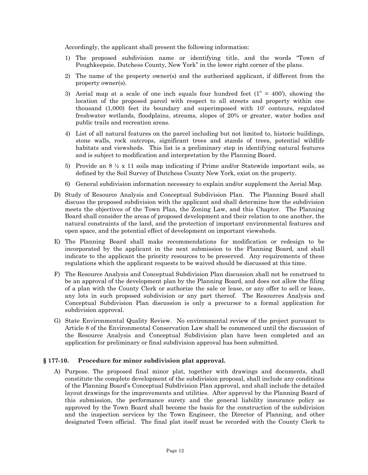Accordingly, the applicant shall present the following information:

- 1) The proposed subdivision name or identifying title, and the words "Town of Poughkeepsie, Dutchess County, New York" in the lower right corner of the plans.
- 2) The name of the property owner(s) and the authorized applicant, if different from the property owner(s).
- 3) Aerial map at a scale of one inch equals four hundred feet  $(1<sup>o</sup> = 400)$ , showing the location of the proposed parcel with respect to all streets and property within one thousand (1,000) feet its boundary and superimposed with 10' contours, regulated freshwater wetlands, floodplains, streams, slopes of 20% or greater, water bodies and public trails and recreation areas.
- 4) List of all natural features on the parcel including but not limited to, historic buildings, stone walls, rock outcrops, significant trees and stands of trees, potential wildlife habitats and viewsheds. This list is a preliminary step in identifying natural features and is subject to modification and interpretation by the Planning Board.
- 5) Provide an  $8 \frac{1}{2}$  x 11 soils map indicating if Prime and/or Statewide important soils, as defined by the Soil Survey of Dutchess County New York, exist on the property.
- 6) General subdivision information necessary to explain and/or supplement the Aerial Map.
- D) Study of Resource Analysis and Conceptual Subdivision Plan. The Planning Board shall discuss the proposed subdivision with the applicant and shall determine how the subdivision meets the objectives of the Town Plan, the Zoning Law, and this Chapter. The Planning Board shall consider the areas of proposed development and their relation to one another, the natural constraints of the land, and the protection of important environmental features and open space, and the potential effect of development on important viewsheds.
- E) The Planning Board shall make recommendations for modification or redesign to be incorporated by the applicant in the next submission to the Planning Board, and shall indicate to the applicant the priority resources to be preserved. Any requirements of these regulations which the applicant requests to be waived should be discussed at this time.
- F) The Resource Analysis and Conceptual Subdivision Plan discussion shall not be construed to be an approval of the development plan by the Planning Board, and does not allow the filing of a plan with the County Clerk or authorize the sale or lease, or any offer to sell or lease, any lots in such proposed subdivision or any part thereof. The Resources Analysis and Conceptual Subdivision Plan discussion is only a precursor to a formal application for subdivision approval.
- G) State Environmental Quality Review. No environmental review of the project pursuant to Article 8 of the Environmental Conservation Law shall be commenced until the discussion of the Resource Analysis and Conceptual Subdivision plan have been completed and an application for preliminary or final subdivision approval has been submitted.

#### **§ 177-10. Procedure for minor subdivision plat approval.**

A) Purpose. The proposed final minor plat, together with drawings and documents, shall constitute the complete development of the subdivision proposal, shall include any conditions of the Planning Board's Conceptual Subdivision Plan approval, and shall include the detailed layout drawings for the improvements and utilities. After approval by the Planning Board of this submission, the performance surety and the general liability insurance policy as approved by the Town Board shall become the basis for the construction of the subdivision and the inspection services by the Town Engineer, the Director of Planning, and other designated Town official. The final plat itself must be recorded with the County Clerk to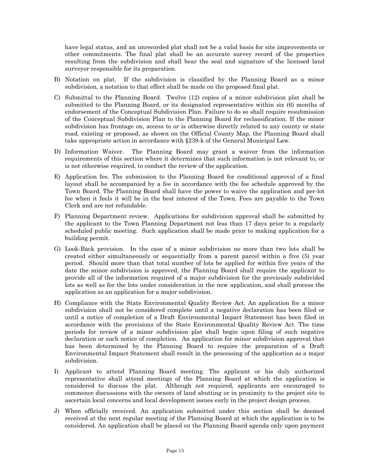have legal status, and an unrecorded plat shall not be a valid basis for site improvements or other commitments. The final plat shall be an accurate survey record of the properties resulting from the subdivision and shall bear the seal and signature of the licensed land surveyor responsible for its preparation.

- B) Notation on plat. If the subdivision is classified by the Planning Board as a minor subdivision, a notation to that effect shall be made on the proposed final plat.
- C) Submittal to the Planning Board. Twelve (12) copies of a minor subdivision plat shall be submitted to the Planning Board, or its designated representative within six (6) months of endorsement of the Conceptual Subdivision Plan. Failure to do so shall require resubmission of the Conceptual Subdivision Plan to the Planning Board for reclassification. If the minor subdivision has frontage on, access to or is otherwise directly related to any county or state road, existing or proposed, as shown on the Official County Map, the Planning Board shall take appropriate action in accordance with §239-k of the General Municipal Law.
- D) Information Waiver. The Planning Board may grant a waiver from the information requirements of this section where it determines that such information is not relevant to, or is not otherwise required, to conduct the review of the application.
- E) Application fee. The submission to the Planning Board for conditional approval of a final layout shall be accompanied by a fee in accordance with the fee schedule approved by the Town Board. The Planning Board shall have the power to waive the application and per-lot fee when it feels it will be in the best interest of the Town. Fees are payable to the Town Clerk and are not refundable.
- F) Planning Department review. Applications for subdivision approval shall be submitted by the applicant to the Town Planning Department not less than 17 days prior to a regularly scheduled public meeting. Such application shall be made prior to making application for a building permit.
- G) Look-Back provision. In the case of a minor subdivision no more than two lots shall be created either simultaneously or sequentially from a parent parcel within a five (5) year period. Should more than that total number of lots be applied for within five years of the date the minor subdivision is approved, the Planning Board shall require the applicant to provide all of the information required of a major subdivision for the previously subdivided lots as well as for the lots under consideration in the new application, and shall process the application as an application for a major subdivision.
- H) Compliance with the State Environmental Quality Review Act. An application for a minor subdivision shall not be considered complete until a negative declaration has been filed or until a notice of completion of a Draft Environmental Impact Statement has been filed in accordance with the provisions of the State Environmental Quality Review Act. The time periods for review of a minor subdivision plat shall begin upon filing of such negative declaration or such notice of completion. An application for minor subdivision approval that has been determined by the Planning Board to require the preparation of a Draft Environmental Impact Statement shall result in the processing of the application as a major subdivision.
- I) Applicant to attend Planning Board meeting. The applicant or his duly authorized representative shall attend meetings of the Planning Board at which the application is considered to discuss the plat. Although not required, applicants are encouraged to commence discussions with the owners of land abutting or in proximity to the project site to ascertain local concerns and local development issues early in the project design process.
- J) When officially received. An application submitted under this section shall be deemed received at the next regular meeting of the Planning Board at which the application is to be considered. An application shall be placed on the Planning Board agenda only upon payment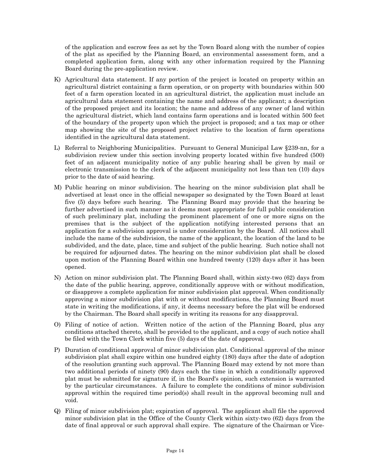of the application and escrow fees as set by the Town Board along with the number of copies of the plat as specified by the Planning Board, an environmental assessment form, and a completed application form, along with any other information required by the Planning Board during the pre-application review.

- K) Agricultural data statement. If any portion of the project is located on property within an agricultural district containing a farm operation, or on property with boundaries within 500 feet of a farm operation located in an agricultural district, the application must include an agricultural data statement containing the name and address of the applicant; a description of the proposed project and its location; the name and address of any owner of land within the agricultural district, which land contains farm operations and is located within 500 feet of the boundary of the property upon which the project is proposed; and a tax map or other map showing the site of the proposed project relative to the location of farm operations identified in the agricultural data statement.
- L) Referral to Neighboring Municipalities. Pursuant to General Municipal Law §239-nn, for a subdivision review under this section involving property located within five hundred (500) feet of an adjacent municipality notice of any public hearing shall be given by mail or electronic transmission to the clerk of the adjacent municipality not less than ten (10) days prior to the date of said hearing.
- M) Public hearing on minor subdivision. The hearing on the minor subdivision plat shall be advertised at least once in the official newspaper so designated by the Town Board at least five (5) days before such hearing. The Planning Board may provide that the hearing be further advertised in such manner as it deems most appropriate for full public consideration of such preliminary plat, including the prominent placement of one or more signs on the premises that is the subject of the application notifying interested persons that an application for a subdivision approval is under consideration by the Board. All notices shall include the name of the subdivision, the name of the applicant, the location of the land to be subdivided, and the date, place, time and subject of the public hearing. Such notice shall not be required for adjourned dates. The hearing on the minor subdivision plat shall be closed upon motion of the Planning Board within one hundred twenty (120) days after it has been opened.
- N) Action on minor subdivision plat. The Planning Board shall, within sixty-two (62) days from the date of the public hearing, approve, conditionally approve with or without modification, or disapprove a complete application for minor subdivision plat approval. When conditionally approving a minor subdivision plat with or without modifications, the Planning Board must state in writing the modifications, if any, it deems necessary before the plat will be endorsed by the Chairman. The Board shall specify in writing its reasons for any disapproval.
- O) Filing of notice of action. Written notice of the action of the Planning Board, plus any conditions attached thereto, shall be provided to the applicant, and a copy of such notice shall be filed with the Town Clerk within five (5) days of the date of approval.
- P) Duration of conditional approval of minor subdivision plat. Conditional approval of the minor subdivision plat shall expire within one hundred eighty (180) days after the date of adoption of the resolution granting such approval. The Planning Board may extend by not more than two additional periods of ninety (90) days each the time in which a conditionally approved plat must be submitted for signature if, in the Board's opinion, such extension is warranted by the particular circumstances. A failure to complete the conditions of minor subdivision approval within the required time period(s) shall result in the approval becoming null and void.
- Q) Filing of minor subdivision plat; expiration of approval. The applicant shall file the approved minor subdivision plat in the Office of the County Clerk within sixty-two (62) days from the date of final approval or such approval shall expire. The signature of the Chairman or Vice-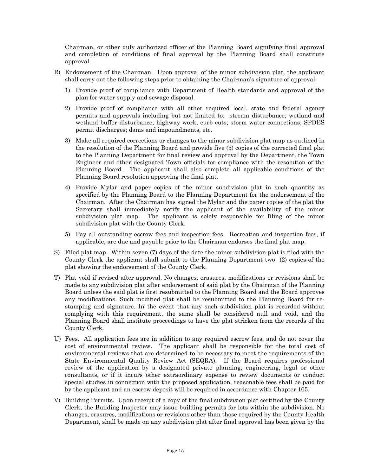Chairman, or other duly authorized officer of the Planning Board signifying final approval and completion of conditions of final approval by the Planning Board shall constitute approval.

- R) Endorsement of the Chairman. Upon approval of the minor subdivision plat, the applicant shall carry out the following steps prior to obtaining the Chairman's signature of approval:
	- 1) Provide proof of compliance with Department of Health standards and approval of the plan for water supply and sewage disposal.
	- 2) Provide proof of compliance with all other required local, state and federal agency permits and approvals including but not limited to: stream disturbance; wetland and wetland buffer disturbance; highway work; curb cuts; storm water connections; SPDES permit discharges; dams and impoundments, etc.
	- 3) Make all required corrections or changes to the minor subdivision plat map as outlined in the resolution of the Planning Board and provide five (5) copies of the corrected final plat to the Planning Department for final review and approval by the Department, the Town Engineer and other designated Town officials for compliance with the resolution of the Planning Board. The applicant shall also complete all applicable conditions of the Planning Board resolution approving the final plat.
	- 4) Provide Mylar and paper copies of the minor subdivision plat in such quantity as specified by the Planning Board to the Planning Department for the endorsement of the Chairman. After the Chairman has signed the Mylar and the paper copies of the plat the Secretary shall immediately notify the applicant of the availability of the minor subdivision plat map. The applicant is solely responsible for filing of the minor subdivision plat with the County Clerk.
	- 5) Pay all outstanding escrow fees and inspection fees. Recreation and inspection fees, if applicable, are due and payable prior to the Chairman endorses the final plat map.
- S) Filed plat map. Within seven (7) days of the date the minor subdivision plat is filed with the County Clerk the applicant shall submit to the Planning Department two (2) copies of the plat showing the endorsement of the County Clerk.
- T) Plat void if revised after approval. No changes, erasures, modifications or revisions shall be made to any subdivision plat after endorsement of said plat by the Chairman of the Planning Board unless the said plat is first resubmitted to the Planning Board and the Board approves any modifications. Such modified plat shall be resubmitted to the Planning Board for restamping and signature. In the event that any such subdivision plat is recorded without complying with this requirement, the same shall be considered null and void, and the Planning Board shall institute proceedings to have the plat stricken from the records of the County Clerk.
- U) Fees. All application fees are in addition to any required escrow fees, and do not cover the cost of environmental review. The applicant shall be responsible for the total cost of environmental reviews that are determined to be necessary to meet the requirements of the State Environmental Quality Review Act (SEQRA). If the Board requires professional review of the application by a designated private planning, engineering, legal or other consultants, or if it incurs other extraordinary expense to review documents or conduct special studies in connection with the proposed application, reasonable fees shall be paid for by the applicant and an escrow deposit will be required in accordance with Chapter 105.
- V) Building Permits. Upon receipt of a copy of the final subdivision plat certified by the County Clerk, the Building Inspector may issue building permits for lots within the subdivision. No changes, erasures, modifications or revisions other than those required by the County Health Department, shall be made on any subdivision plat after final approval has been given by the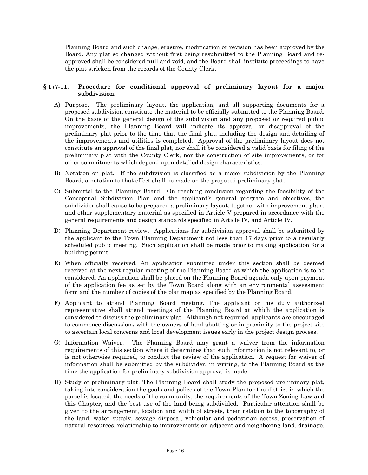Planning Board and such change, erasure, modification or revision has been approved by the Board. Any plat so changed without first being resubmitted to the Planning Board and reapproved shall be considered null and void, and the Board shall institute proceedings to have the plat stricken from the records of the County Clerk.

# **§ 177-11. Procedure for conditional approval of preliminary layout for a major subdivision.**

- A) Purpose. The preliminary layout, the application, and all supporting documents for a proposed subdivision constitute the material to be officially submitted to the Planning Board. On the basis of the general design of the subdivision and any proposed or required public improvements, the Planning Board will indicate its approval or disapproval of the preliminary plat prior to the time that the final plat, including the design and detailing of the improvements and utilities is completed. Approval of the preliminary layout does not constitute an approval of the final plat, nor shall it be considered a valid basis for filing of the preliminary plat with the County Clerk, nor the construction of site improvements, or for other commitments which depend upon detailed design characteristics.
- B) Notation on plat. If the subdivision is classified as a major subdivision by the Planning Board, a notation to that effect shall be made on the proposed preliminary plat.
- C) Submittal to the Planning Board. On reaching conclusion regarding the feasibility of the Conceptual Subdivision Plan and the applicant's general program and objectives, the subdivider shall cause to be prepared a preliminary layout, together with improvement plans and other supplementary material as specified in Article V prepared in accordance with the general requirements and design standards specified in Article IV, and Article IV.
- D) Planning Department review. Applications for subdivision approval shall be submitted by the applicant to the Town Planning Department not less than 17 days prior to a regularly scheduled public meeting. Such application shall be made prior to making application for a building permit.
- E) When officially received. An application submitted under this section shall be deemed received at the next regular meeting of the Planning Board at which the application is to be considered. An application shall be placed on the Planning Board agenda only upon payment of the application fee as set by the Town Board along with an environmental assessment form and the number of copies of the plat map as specified by the Planning Board.
- F) Applicant to attend Planning Board meeting. The applicant or his duly authorized representative shall attend meetings of the Planning Board at which the application is considered to discuss the preliminary plat. Although not required, applicants are encouraged to commence discussions with the owners of land abutting or in proximity to the project site to ascertain local concerns and local development issues early in the project design process.
- G) Information Waiver. The Planning Board may grant a waiver from the information requirements of this section where it determines that such information is not relevant to, or is not otherwise required, to conduct the review of the application. A request for waiver of information shall be submitted by the subdivider, in writing, to the Planning Board at the time the application for preliminary subdivision approval is made.
- H) Study of preliminary plat. The Planning Board shall study the proposed preliminary plat, taking into consideration the goals and polices of the Town Plan for the district in which the parcel is located, the needs of the community, the requirements of the Town Zoning Law and this Chapter, and the best use of the land being subdivided. Particular attention shall be given to the arrangement, location and width of streets, their relation to the topography of the land, water supply, sewage disposal, vehicular and pedestrian access, preservation of natural resources, relationship to improvements on adjacent and neighboring land, drainage,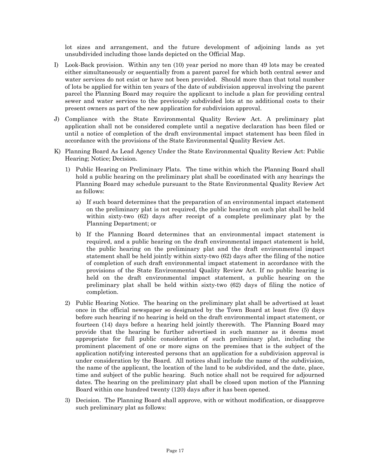lot sizes and arrangement, and the future development of adjoining lands as yet unsubdivided including those lands depicted on the Official Map.

- I) Look-Back provision. Within any ten (10) year period no more than 49 lots may be created either simultaneously or sequentially from a parent parcel for which both central sewer and water services do not exist or have not been provided. Should more than that total number of lots be applied for within ten years of the date of subdivision approval involving the parent parcel the Planning Board may require the applicant to include a plan for providing central sewer and water services to the previously subdivided lots at no additional costs to their present owners as part of the new application for subdivision approval.
- J) Compliance with the State Environmental Quality Review Act. A preliminary plat application shall not be considered complete until a negative declaration has been filed or until a notice of completion of the draft environmental impact statement has been filed in accordance with the provisions of the State Environmental Quality Review Act.
- K) Planning Board As Lead Agency Under the State Environmental Quality Review Act: Public Hearing; Notice; Decision.
	- 1) Public Hearing on Preliminary Plats. The time within which the Planning Board shall hold a public hearing on the preliminary plat shall be coordinated with any hearings the Planning Board may schedule pursuant to the State Environmental Quality Review Act as follows:
		- a) If such board determines that the preparation of an environmental impact statement on the preliminary plat is not required, the public hearing on such plat shall be held within sixty-two (62) days after receipt of a complete preliminary plat by the Planning Department; or
		- b) If the Planning Board determines that an environmental impact statement is required, and a public hearing on the draft environmental impact statement is held, the public hearing on the preliminary plat and the draft environmental impact statement shall be held jointly within sixty-two (62) days after the filing of the notice of completion of such draft environmental impact statement in accordance with the provisions of the State Environmental Quality Review Act. If no public hearing is held on the draft environmental impact statement, a public hearing on the preliminary plat shall be held within sixty-two (62) days of filing the notice of completion.
	- 2) Public Hearing Notice. The hearing on the preliminary plat shall be advertised at least once in the official newspaper so designated by the Town Board at least five (5) days before such hearing if no hearing is held on the draft environmental impact statement, or fourteen (14) days before a hearing held jointly therewith. The Planning Board may provide that the hearing be further advertised in such manner as it deems most appropriate for full public consideration of such preliminary plat, including the prominent placement of one or more signs on the premises that is the subject of the application notifying interested persons that an application for a subdivision approval is under consideration by the Board. All notices shall include the name of the subdivision, the name of the applicant, the location of the land to be subdivided, and the date, place, time and subject of the public hearing. Such notice shall not be required for adjourned dates. The hearing on the preliminary plat shall be closed upon motion of the Planning Board within one hundred twenty (120) days after it has been opened.
	- 3) Decision. The Planning Board shall approve, with or without modification, or disapprove such preliminary plat as follows: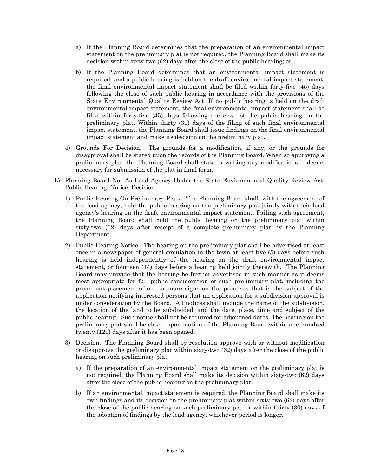- a) If the Planning Board determines that the preparation of an environmental impact statement on the preliminary plat is not required, the Planning Board shall make its decision within sixty-two (62) days after the close of the public hearing; or
- b) If the Planning Board determines that an environmental impact statement is required, and a public hearing is held on the draft environmental impact statement, the final environmental impact statement shall be filed within forty-five (45) days following the close of such public hearing in accordance with the provisions of the State Environmental Quality Review Act. If no public hearing is held on the draft environmental impact statement, the final environmental impact statement shall be filed within forty-five (45) days following the close of the public hearing on the preliminary plat. Within thirty (30) days of the filing of such final environmental impact statement, the Planning Board shall issue findings on the final environmental impact statement and make its decision on the preliminary plat.
- 4) Grounds For Decision. The grounds for a modification, if any, or the grounds for disapproval shall be stated upon the records of the Planning Board. When so approving a preliminary plat, the Planning Board shall state in writing any modifications it deems necessary for submission of the plat in final form.
- L) Planning Board Not As Lead Agency Under the State Environmental Quality Review Act: Public Hearing; Notice; Decision.
	- 1) Public Hearing On Preliminary Plats. The Planning Board shall, with the agreement of the lead agency, hold the public hearing on the preliminary plat jointly with their lead agency's hearing on the draft environmental impact statement. Failing such agreement, the Planning Board shall hold the public hearing on the preliminary plat within sixty-two (62) days after receipt of a complete preliminary plat by the Planning Department.
	- 2) Public Hearing Notice. The hearing on the preliminary plat shall be advertised at least once in a newspaper of general circulation in the town at least five (5) days before such hearing is held independently of the hearing on the draft environmental impact statement, or fourteen (14) days before a hearing held jointly therewith. The Planning Board may provide that the hearing be further advertised in such manner as it deems most appropriate for full public consideration of such preliminary plat, including the prominent placement of one or more signs on the premises that is the subject of the application notifying interested persons that an application for a subdivision approval is under consideration by the Board. All notices shall include the name of the subdivision, the location of the land to be subdivided, and the date, place, time and subject of the public hearing. Such notice shall not be required for adjourned dates. The hearing on the preliminary plat shall be closed upon motion of the Planning Board within one hundred twenty (120) days after it has been opened.
	- 3) Decision. The Planning Board shall by resolution approve with or without modification or disapprove the preliminary plat within sixty-two (62) days after the close of the public hearing on such preliminary plat.
		- a) If the preparation of an environmental impact statement on the preliminary plat is not required, the Planning Board shall make its decision within sixty-two (62) days after the close of the public hearing on the preliminary plat.
		- b) If an environmental impact statement is required, the Planning Board shall make its own findings and its decision on the preliminary plat within sixty-two (62) days after the close of the public hearing on such preliminary plat or within thirty (30) days of the adoption of findings by the lead agency, whichever period is longer.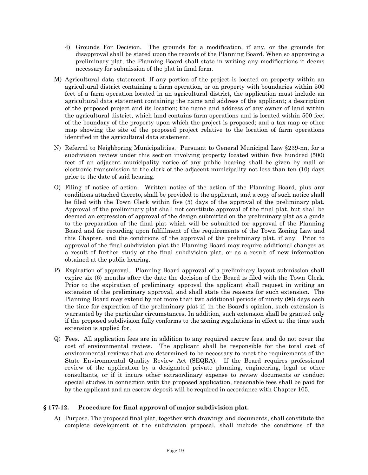- 4) Grounds For Decision. The grounds for a modification, if any, or the grounds for disapproval shall be stated upon the records of the Planning Board. When so approving a preliminary plat, the Planning Board shall state in writing any modifications it deems necessary for submission of the plat in final form.
- M) Agricultural data statement. If any portion of the project is located on property within an agricultural district containing a farm operation, or on property with boundaries within 500 feet of a farm operation located in an agricultural district, the application must include an agricultural data statement containing the name and address of the applicant; a description of the proposed project and its location; the name and address of any owner of land within the agricultural district, which land contains farm operations and is located within 500 feet of the boundary of the property upon which the project is proposed; and a tax map or other map showing the site of the proposed project relative to the location of farm operations identified in the agricultural data statement.
- N) Referral to Neighboring Municipalities. Pursuant to General Municipal Law §239-nn, for a subdivision review under this section involving property located within five hundred (500) feet of an adjacent municipality notice of any public hearing shall be given by mail or electronic transmission to the clerk of the adjacent municipality not less than ten (10) days prior to the date of said hearing.
- O) Filing of notice of action. Written notice of the action of the Planning Board, plus any conditions attached thereto, shall be provided to the applicant, and a copy of such notice shall be filed with the Town Clerk within five (5) days of the approval of the preliminary plat. Approval of the preliminary plat shall not constitute approval of the final plat, but shall be deemed an expression of approval of the design submitted on the preliminary plat as a guide to the preparation of the final plat which will be submitted for approval of the Planning Board and for recording upon fulfillment of the requirements of the Town Zoning Law and this Chapter, and the conditions of the approval of the preliminary plat, if any. Prior to approval of the final subdivision plat the Planning Board may require additional changes as a result of further study of the final subdivision plat, or as a result of new information obtained at the public hearing.
- P) Expiration of approval. Planning Board approval of a preliminary layout submission shall expire six (6) months after the date the decision of the Board is filed with the Town Clerk. Prior to the expiration of preliminary approval the applicant shall request in writing an extension of the preliminary approval, and shall state the reasons for such extension. The Planning Board may extend by not more than two additional periods of ninety (90) days each the time for expiration of the preliminary plat if, in the Board's opinion, such extension is warranted by the particular circumstances. In addition, such extension shall be granted only if the proposed subdivision fully conforms to the zoning regulations in effect at the time such extension is applied for.
- Q) Fees. All application fees are in addition to any required escrow fees, and do not cover the cost of environmental review. The applicant shall be responsible for the total cost of environmental reviews that are determined to be necessary to meet the requirements of the State Environmental Quality Review Act (SEQRA). If the Board requires professional review of the application by a designated private planning, engineering, legal or other consultants, or if it incurs other extraordinary expense to review documents or conduct special studies in connection with the proposed application, reasonable fees shall be paid for by the applicant and an escrow deposit will be required in accordance with Chapter 105.

# **§ 177-12. Procedure for final approval of major subdivision plat.**

A) Purpose. The proposed final plat, together with drawings and documents, shall constitute the complete development of the subdivision proposal, shall include the conditions of the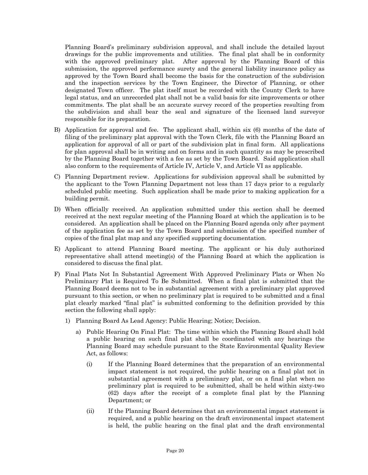Planning Board's preliminary subdivision approval, and shall include the detailed layout drawings for the public improvements and utilities. The final plat shall be in conformity with the approved preliminary plat. After approval by the Planning Board of this submission, the approved performance surety and the general liability insurance policy as approved by the Town Board shall become the basis for the construction of the subdivision and the inspection services by the Town Engineer, the Director of Planning, or other designated Town officer. The plat itself must be recorded with the County Clerk to have legal status, and an unrecorded plat shall not be a valid basis for site improvements or other commitments. The plat shall be an accurate survey record of the properties resulting from the subdivision and shall bear the seal and signature of the licensed land surveyor responsible for its preparation.

- B) Application for approval and fee. The applicant shall, within six (6) months of the date of filing of the preliminary plat approval with the Town Clerk, file with the Planning Board an application for approval of all or part of the subdivision plat in final form. All applications for plan approval shall be in writing and on forms and in such quantity as may be prescribed by the Planning Board together with a fee as set by the Town Board. Said application shall also conform to the requirements of Article IV, Article V, and Article VI as applicable.
- C) Planning Department review. Applications for subdivision approval shall be submitted by the applicant to the Town Planning Department not less than 17 days prior to a regularly scheduled public meeting. Such application shall be made prior to making application for a building permit.
- D) When officially received. An application submitted under this section shall be deemed received at the next regular meeting of the Planning Board at which the application is to be considered. An application shall be placed on the Planning Board agenda only after payment of the application fee as set by the Town Board and submission of the specified number of copies of the final plat map and any specified supporting documentation.
- E) Applicant to attend Planning Board meeting. The applicant or his duly authorized representative shall attend meeting(s) of the Planning Board at which the application is considered to discuss the final plat.
- F) Final Plats Not In Substantial Agreement With Approved Preliminary Plats or When No Preliminary Plat is Required To Be Submitted. When a final plat is submitted that the Planning Board deems not to be in substantial agreement with a preliminary plat approved pursuant to this section, or when no preliminary plat is required to be submitted and a final plat clearly marked "final plat" is submitted conforming to the definition provided by this section the following shall apply:
	- 1) Planning Board As Lead Agency: Public Hearing; Notice; Decision.
		- a) Public Hearing On Final Plat: The time within which the Planning Board shall hold a public hearing on such final plat shall be coordinated with any hearings the Planning Board may schedule pursuant to the State Environmental Quality Review Act, as follows:
			- (i) If the Planning Board determines that the preparation of an environmental impact statement is not required, the public hearing on a final plat not in substantial agreement with a preliminary plat, or on a final plat when no preliminary plat is required to be submitted, shall be held within sixty-two (62) days after the receipt of a complete final plat by the Planning Department; or
			- (ii) If the Planning Board determines that an environmental impact statement is required, and a public hearing on the draft environmental impact statement is held, the public hearing on the final plat and the draft environmental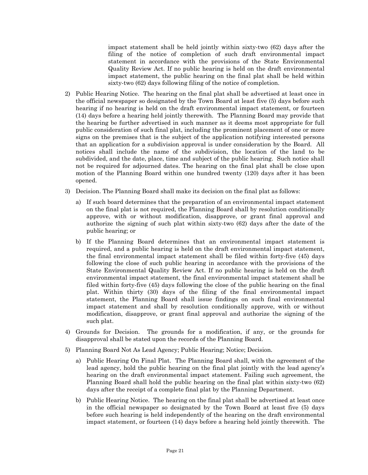impact statement shall be held jointly within sixty-two (62) days after the filing of the notice of completion of such draft environmental impact statement in accordance with the provisions of the State Environmental Quality Review Act. If no public hearing is held on the draft environmental impact statement, the public hearing on the final plat shall be held within sixty-two (62) days following filing of the notice of completion.

- 2) Public Hearing Notice. The hearing on the final plat shall be advertised at least once in the official newspaper so designated by the Town Board at least five (5) days before such hearing if no hearing is held on the draft environmental impact statement, or fourteen (14) days before a hearing held jointly therewith. The Planning Board may provide that the hearing be further advertised in such manner as it deems most appropriate for full public consideration of such final plat, including the prominent placement of one or more signs on the premises that is the subject of the application notifying interested persons that an application for a subdivision approval is under consideration by the Board. All notices shall include the name of the subdivision, the location of the land to be subdivided, and the date, place, time and subject of the public hearing. Such notice shall not be required for adjourned dates. The hearing on the final plat shall be close upon motion of the Planning Board within one hundred twenty (120) days after it has been opened.
- 3) Decision. The Planning Board shall make its decision on the final plat as follows:
	- a) If such board determines that the preparation of an environmental impact statement on the final plat is not required, the Planning Board shall by resolution conditionally approve, with or without modification, disapprove, or grant final approval and authorize the signing of such plat within sixty-two (62) days after the date of the public hearing; or
	- b) If the Planning Board determines that an environmental impact statement is required, and a public hearing is held on the draft environmental impact statement, the final environmental impact statement shall be filed within forty-five (45) days following the close of such public hearing in accordance with the provisions of the State Environmental Quality Review Act. If no public hearing is held on the draft environmental impact statement, the final environmental impact statement shall be filed within forty-five (45) days following the close of the public hearing on the final plat. Within thirty (30) days of the filing of the final environmental impact statement, the Planning Board shall issue findings on such final environmental impact statement and shall by resolution conditionally approve, with or without modification, disapprove, or grant final approval and authorize the signing of the such plat.
- 4) Grounds for Decision. The grounds for a modification, if any, or the grounds for disapproval shall be stated upon the records of the Planning Board.
- 5) Planning Board Not As Lead Agency; Public Hearing; Notice; Decision.
	- a) Public Hearing On Final Plat. The Planning Board shall, with the agreement of the lead agency, hold the public hearing on the final plat jointly with the lead agency's hearing on the draft environmental impact statement. Failing such agreement, the Planning Board shall hold the public hearing on the final plat within sixty-two (62) days after the receipt of a complete final plat by the Planning Department.
	- b) Public Hearing Notice. The hearing on the final plat shall be advertised at least once in the official newspaper so designated by the Town Board at least five (5) days before such hearing is held independently of the hearing on the draft environmental impact statement, or fourteen (14) days before a hearing held jointly therewith. The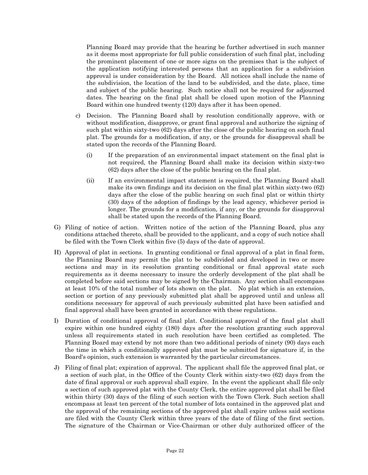Planning Board may provide that the hearing be further advertised in such manner as it deems most appropriate for full public consideration of such final plat, including the prominent placement of one or more signs on the premises that is the subject of the application notifying interested persons that an application for a subdivision approval is under consideration by the Board. All notices shall include the name of the subdivision, the location of the land to be subdivided, and the date, place, time and subject of the public hearing. Such notice shall not be required for adjourned dates. The hearing on the final plat shall be closed upon motion of the Planning Board within one hundred twenty (120) days after it has been opened.

- c) Decision. The Planning Board shall by resolution conditionally approve, with or without modification, disapprove, or grant final approval and authorize the signing of such plat within sixty-two (62) days after the close of the public hearing on such final plat. The grounds for a modification, if any, or the grounds for disapproval shall be stated upon the records of the Planning Board.
	- (i) If the preparation of an environmental impact statement on the final plat is not required, the Planning Board shall make its decision within sixty-two (62) days after the close of the public hearing on the final plat.
	- (ii) If an environmental impact statement is required, the Planning Board shall make its own findings and its decision on the final plat within sixty-two (62) days after the close of the public hearing on such final plat or within thirty (30) days of the adoption of findings by the lead agency, whichever period is longer. The grounds for a modification, if any, or the grounds for disapproval shall be stated upon the records of the Planning Board.
- G) Filing of notice of action. Written notice of the action of the Planning Board, plus any conditions attached thereto, shall be provided to the applicant, and a copy of such notice shall be filed with the Town Clerk within five (5) days of the date of approval.
- H) Approval of plat in sections. In granting conditional or final approval of a plat in final form, the Planning Board may permit the plat to be subdivided and developed in two or more sections and may in its resolution granting conditional or final approval state such requirements as it deems necessary to insure the orderly development of the plat shall be completed before said sections may be signed by the Chairman. Any section shall encompass at least 10% of the total number of lots shown on the plat. No plat which is an extension, section or portion of any previously submitted plat shall be approved until and unless all conditions necessary for approval of such previously submitted plat have been satisfied and final approval shall have been granted in accordance with these regulations.
- I) Duration of conditional approval of final plat. Conditional approval of the final plat shall expire within one hundred eighty (180) days after the resolution granting such approval unless all requirements stated in such resolution have been certified as completed. The Planning Board may extend by not more than two additional periods of ninety (90) days each the time in which a conditionally approved plat must be submitted for signature if, in the Board's opinion, such extension is warranted by the particular circumstances.
- J) Filing of final plat; expiration of approval. The applicant shall file the approved final plat, or a section of such plat, in the Office of the County Clerk within sixty-two (62) days from the date of final approval or such approval shall expire. In the event the applicant shall file only a section of such approved plat with the County Clerk, the entire approved plat shall be filed within thirty (30) days of the filing of such section with the Town Clerk. Such section shall encompass at least ten percent of the total number of lots contained in the approved plat and the approval of the remaining sections of the approved plat shall expire unless said sections are filed with the County Clerk within three years of the date of filing of the first section. The signature of the Chairman or Vice-Chairman or other duly authorized officer of the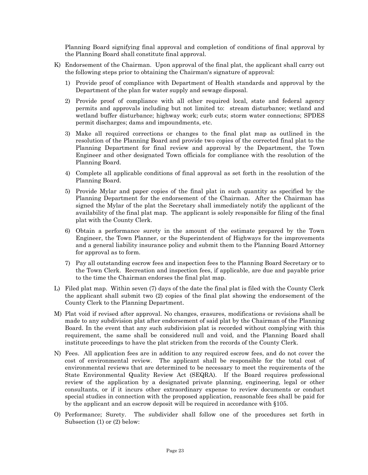Planning Board signifying final approval and completion of conditions of final approval by the Planning Board shall constitute final approval.

- K) Endorsement of the Chairman. Upon approval of the final plat, the applicant shall carry out the following steps prior to obtaining the Chairman's signature of approval:
	- 1) Provide proof of compliance with Department of Health standards and approval by the Department of the plan for water supply and sewage disposal.
	- 2) Provide proof of compliance with all other required local, state and federal agency permits and approvals including but not limited to: stream disturbance; wetland and wetland buffer disturbance; highway work; curb cuts; storm water connections; SPDES permit discharges; dams and impoundments, etc.
	- 3) Make all required corrections or changes to the final plat map as outlined in the resolution of the Planning Board and provide two copies of the corrected final plat to the Planning Department for final review and approval by the Department, the Town Engineer and other designated Town officials for compliance with the resolution of the Planning Board.
	- 4) Complete all applicable conditions of final approval as set forth in the resolution of the Planning Board.
	- 5) Provide Mylar and paper copies of the final plat in such quantity as specified by the Planning Department for the endorsement of the Chairman. After the Chairman has signed the Mylar of the plat the Secretary shall immediately notify the applicant of the availability of the final plat map. The applicant is solely responsible for filing of the final plat with the County Clerk.
	- 6) Obtain a performance surety in the amount of the estimate prepared by the Town Engineer, the Town Planner, or the Superintendent of Highways for the improvements and a general liability insurance policy and submit them to the Planning Board Attorney for approval as to form.
	- 7) Pay all outstanding escrow fees and inspection fees to the Planning Board Secretary or to the Town Clerk. Recreation and inspection fees, if applicable, are due and payable prior to the time the Chairman endorses the final plat map.
- L) Filed plat map. Within seven (7) days of the date the final plat is filed with the County Clerk the applicant shall submit two (2) copies of the final plat showing the endorsement of the County Clerk to the Planning Department.
- M) Plat void if revised after approval. No changes, erasures, modifications or revisions shall be made to any subdivision plat after endorsement of said plat by the Chairman of the Planning Board. In the event that any such subdivision plat is recorded without complying with this requirement, the same shall be considered null and void, and the Planning Board shall institute proceedings to have the plat stricken from the records of the County Clerk.
- N) Fees. All application fees are in addition to any required escrow fees, and do not cover the cost of environmental review. The applicant shall be responsible for the total cost of environmental reviews that are determined to be necessary to meet the requirements of the State Environmental Quality Review Act (SEQRA). If the Board requires professional review of the application by a designated private planning, engineering, legal or other consultants, or if it incurs other extraordinary expense to review documents or conduct special studies in connection with the proposed application, reasonable fees shall be paid for by the applicant and an escrow deposit will be required in accordance with §105.
- O) Performance; Surety. The subdivider shall follow one of the procedures set forth in Subsection (1) or (2) below: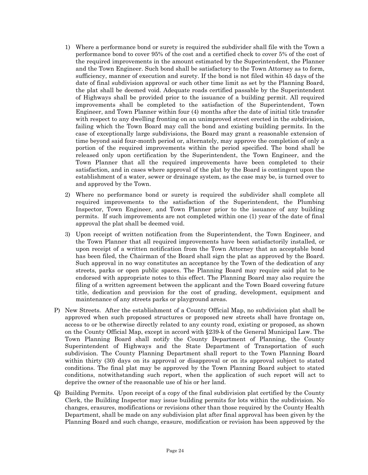- 1) Where a performance bond or surety is required the subdivider shall file with the Town a performance bond to cover 95% of the cost and a certified check to cover 5% of the cost of the required improvements in the amount estimated by the Superintendent, the Planner and the Town Engineer. Such bond shall be satisfactory to the Town Attorney as to form, sufficiency, manner of execution and surety. If the bond is not filed within 45 days of the date of final subdivision approval or such other time limit as set by the Planning Board, the plat shall be deemed void. Adequate roads certified passable by the Superintendent of Highways shall be provided prior to the issuance of a building permit. All required improvements shall be completed to the satisfaction of the Superintendent, Town Engineer, and Town Planner within four (4) months after the date of initial title transfer with respect to any dwelling fronting on an unimproved street erected in the subdivision, failing which the Town Board may call the bond and existing building permits. In the case of exceptionally large subdivisions, the Board may grant a reasonable extension of time beyond said four-month period or, alternately, may approve the completion of only a portion of the required improvements within the period specified. The bond shall be released only upon certification by the Superintendent, the Town Engineer, and the Town Planner that all the required improvements have been completed to their satisfaction, and in cases where approval of the plat by the Board is contingent upon the establishment of a water, sewer or drainage system, as the case may be, is turned over to and approved by the Town.
- 2) Where no performance bond or surety is required the subdivider shall complete all required improvements to the satisfaction of the Superintendent, the Plumbing Inspector, Town Engineer, and Town Planner prior to the issuance of any building permits. If such improvements are not completed within one (1) year of the date of final approval the plat shall be deemed void.
- 3) Upon receipt of written notification from the Superintendent, the Town Engineer, and the Town Planner that all required improvements have been satisfactorily installed, or upon receipt of a written notification from the Town Attorney that an acceptable bond has been filed, the Chairman of the Board shall sign the plat as approved by the Board. Such approval in no way constitutes an acceptance by the Town of the dedication of any streets, parks or open public spaces. The Planning Board may require said plat to be endorsed with appropriate notes to this effect. The Planning Board may also require the filing of a written agreement between the applicant and the Town Board covering future title, dedication and provision for the cost of grading, development, equipment and maintenance of any streets parks or playground areas.
- P) New Streets. After the establishment of a County Official Map, no subdivision plat shall be approved when such proposed structures or proposed new streets shall have frontage on, access to or be otherwise directly related to any county road, existing or proposed, as shown on the County Official Map, except in accord with §239-k of the General Municipal Law. The Town Planning Board shall notify the County Department of Planning, the County Superintendent of Highways and the State Department of Transportation of such subdivision. The County Planning Department shall report to the Town Planning Board within thirty (30) days on its approval or disapproval or on its approval subject to stated conditions. The final plat may be approved by the Town Planning Board subject to stated conditions, notwithstanding such report, when the application of such report will act to deprive the owner of the reasonable use of his or her land.
- Q) Building Permits. Upon receipt of a copy of the final subdivision plat certified by the County Clerk, the Building Inspector may issue building permits for lots within the subdivision. No changes, erasures, modifications or revisions other than those required by the County Health Department, shall be made on any subdivision plat after final approval has been given by the Planning Board and such change, erasure, modification or revision has been approved by the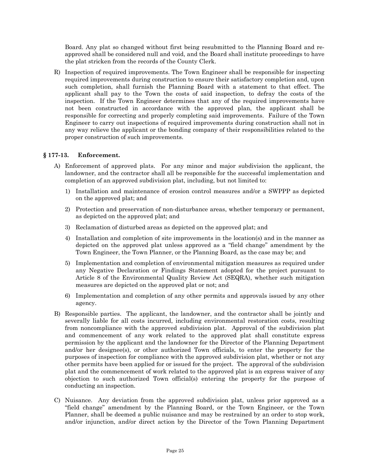Board. Any plat so changed without first being resubmitted to the Planning Board and reapproved shall be considered null and void, and the Board shall institute proceedings to have the plat stricken from the records of the County Clerk.

R) Inspection of required improvements. The Town Engineer shall be responsible for inspecting required improvements during construction to ensure their satisfactory completion and, upon such completion, shall furnish the Planning Board with a statement to that effect. The applicant shall pay to the Town the costs of said inspection, to defray the costs of the inspection. If the Town Engineer determines that any of the required improvements have not been constructed in accordance with the approved plan, the applicant shall be responsible for correcting and properly completing said improvements. Failure of the Town Engineer to carry out inspections of required improvements during construction shall not in any way relieve the applicant or the bonding company of their responsibilities related to the proper construction of such improvements.

# **§ 177-13. Enforcement.**

- A) Enforcement of approved plats. For any minor and major subdivision the applicant, the landowner, and the contractor shall all be responsible for the successful implementation and completion of an approved subdivision plat, including, but not limited to:
	- 1) Installation and maintenance of erosion control measures and/or a SWPPP as depicted on the approved plat; and
	- 2) Protection and preservation of non-disturbance areas, whether temporary or permanent, as depicted on the approved plat; and
	- 3) Reclamation of disturbed areas as depicted on the approved plat; and
	- 4) Installation and completion of site improvements in the location(s) and in the manner as depicted on the approved plat unless approved as a "field change" amendment by the Town Engineer, the Town Planner, or the Planning Board, as the case may be; and
	- 5) Implementation and completion of environmental mitigation measures as required under any Negative Declaration or Findings Statement adopted for the project pursuant to Article 8 of the Environmental Quality Review Act (SEQRA), whether such mitigation measures are depicted on the approved plat or not; and
	- 6) Implementation and completion of any other permits and approvals issued by any other agency.
- B) Responsible parties. The applicant, the landowner, and the contractor shall be jointly and severally liable for all costs incurred, including environmental restoration costs, resulting from noncompliance with the approved subdivision plat. Approval of the subdivision plat and commencement of any work related to the approved plat shall constitute express permission by the applicant and the landowner for the Director of the Planning Department and/or her designee(s), or other authorized Town officials, to enter the property for the purposes of inspection for compliance with the approved subdivision plat, whether or not any other permits have been applied for or issued for the project. The approval of the subdivision plat and the commencement of work related to the approved plat is an express waiver of any objection to such authorized Town official(s) entering the property for the purpose of conducting an inspection.
- C) Nuisance. Any deviation from the approved subdivision plat, unless prior approved as a "field change" amendment by the Planning Board, or the Town Engineer, or the Town Planner, shall be deemed a public nuisance and may be restrained by an order to stop work, and/or injunction, and/or direct action by the Director of the Town Planning Department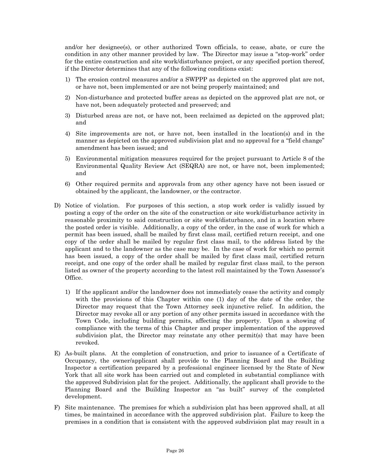and/or her designee(s), or other authorized Town officials, to cease, abate, or cure the condition in any other manner provided by law. The Director may issue a "stop-work" order for the entire construction and site work/disturbance project, or any specified portion thereof, if the Director determines that any of the following conditions exist:

- 1) The erosion control measures and/or a SWPPP as depicted on the approved plat are not, or have not, been implemented or are not being properly maintained; and
- 2) Non-disturbance and protected buffer areas as depicted on the approved plat are not, or have not, been adequately protected and preserved; and
- 3) Disturbed areas are not, or have not, been reclaimed as depicted on the approved plat; and
- 4) Site improvements are not, or have not, been installed in the location(s) and in the manner as depicted on the approved subdivision plat and no approval for a "field change" amendment has been issued; and
- 5) Environmental mitigation measures required for the project pursuant to Article 8 of the Environmental Quality Review Act (SEQRA) are not, or have not, been implemented; and
- 6) Other required permits and approvals from any other agency have not been issued or obtained by the applicant, the landowner, or the contractor.
- D) Notice of violation. For purposes of this section, a stop work order is validly issued by posting a copy of the order on the site of the construction or site work/disturbance activity in reasonable proximity to said construction or site work/disturbance, and in a location where the posted order is visible. Additionally, a copy of the order, in the case of work for which a permit has been issued, shall be mailed by first class mail, certified return receipt, and one copy of the order shall be mailed by regular first class mail, to the address listed by the applicant and to the landowner as the case may be. In the case of work for which no permit has been issued, a copy of the order shall be mailed by first class mail, certified return receipt, and one copy of the order shall be mailed by regular first class mail, to the person listed as owner of the property according to the latest roll maintained by the Town Assessor's Office.
	- 1) If the applicant and/or the landowner does not immediately cease the activity and comply with the provisions of this Chapter within one (1) day of the date of the order, the Director may request that the Town Attorney seek injunctive relief. In addition, the Director may revoke all or any portion of any other permits issued in accordance with the Town Code, including building permits, affecting the property. Upon a showing of compliance with the terms of this Chapter and proper implementation of the approved subdivision plat, the Director may reinstate any other permit(s) that may have been revoked.
- E) As-built plans. At the completion of construction, and prior to issuance of a Certificate of Occupancy, the owner/applicant shall provide to the Planning Board and the Building Inspector a certification prepared by a professional engineer licensed by the State of New York that all site work has been carried out and completed in substantial compliance with the approved Subdivision plat for the project. Additionally, the applicant shall provide to the Planning Board and the Building Inspector an "as built" survey of the completed development.
- F) Site maintenance. The premises for which a subdivision plat has been approved shall, at all times, be maintained in accordance with the approved subdivision plat. Failure to keep the premises in a condition that is consistent with the approved subdivision plat may result in a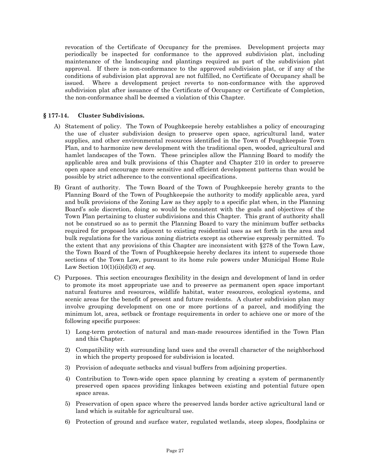revocation of the Certificate of Occupancy for the premises. Development projects may periodically be inspected for conformance to the approved subdivision plat, including maintenance of the landscaping and plantings required as part of the subdivision plat approval. If there is non-conformance to the approved subdivision plat, or if any of the conditions of subdivision plat approval are not fulfilled, no Certificate of Occupancy shall be issued. Where a development project reverts to non-conformance with the approved subdivision plat after issuance of the Certificate of Occupancy or Certificate of Completion, the non-conformance shall be deemed a violation of this Chapter.

# **§ 177-14. Cluster Subdivisions.**

- A) Statement of policy. The Town of Poughkeepsie hereby establishes a policy of encouraging the use of cluster subdivision design to preserve open space, agricultural land, water supplies, and other environmental resources identified in the Town of Poughkeepsie Town Plan, and to harmonize new development with the traditional open, wooded, agricultural and hamlet landscapes of the Town. These principles allow the Planning Board to modify the applicable area and bulk provisions of this Chapter and Chapter 210 in order to preserve open space and encourage more sensitive and efficient development patterns than would be possible by strict adherence to the conventional specifications.
- B) Grant of authority. The Town Board of the Town of Poughkeepsie hereby grants to the Planning Board of the Town of Poughkeepsie the authority to modify applicable area, yard and bulk provisions of the Zoning Law as they apply to a specific plat when, in the Planning Board's sole discretion, doing so would be consistent with the goals and objectives of the Town Plan pertaining to cluster subdivisions and this Chapter. This grant of authority shall not be construed so as to permit the Planning Board to vary the minimum buffer setbacks required for proposed lots adjacent to existing residential uses as set forth in the area and bulk regulations for the various zoning districts except as otherwise expressly permitted. To the extent that any provisions of this Chapter are inconsistent with §278 of the Town Law, the Town Board of the Town of Poughkeepsie hereby declares its intent to supersede those sections of the Town Law, pursuant to its home rule powers under Municipal Home Rule Law Section 10(1)(ii)(d)(3) *et seq.*
- C) Purposes. This section encourages flexibility in the design and development of land in order to promote its most appropriate use and to preserve as permanent open space important natural features and resources, wildlife habitat, water resources, ecological systems, and scenic areas for the benefit of present and future residents. A cluster subdivision plan may involve grouping development on one or more portions of a parcel, and modifying the minimum lot, area, setback or frontage requirements in order to achieve one or more of the following specific purposes:
	- 1) Long-term protection of natural and man-made resources identified in the Town Plan and this Chapter.
	- 2) Compatibility with surrounding land uses and the overall character of the neighborhood in which the property proposed for subdivision is located.
	- 3) Provision of adequate setbacks and visual buffers from adjoining properties.
	- 4) Contribution to Town-wide open space planning by creating a system of permanently preserved open spaces providing linkages between existing and potential future open space areas.
	- 5) Preservation of open space where the preserved lands border active agricultural land or land which is suitable for agricultural use.
	- 6) Protection of ground and surface water, regulated wetlands, steep slopes, floodplains or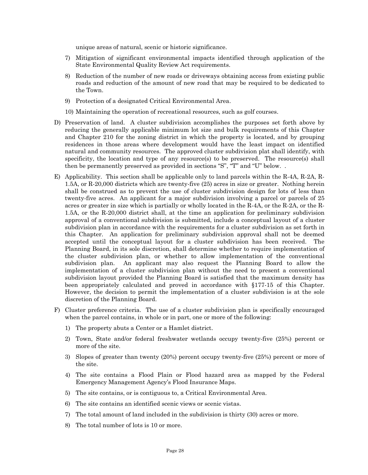unique areas of natural, scenic or historic significance.

- 7) Mitigation of significant environmental impacts identified through application of the State Environmental Quality Review Act requirements.
- 8) Reduction of the number of new roads or driveways obtaining access from existing public roads and reduction of the amount of new road that may be required to be dedicated to the Town.
- 9) Protection of a designated Critical Environmental Area.
- 10) Maintaining the operation of recreational resources, such as golf courses.
- D) Preservation of land. A cluster subdivision accomplishes the purposes set forth above by reducing the generally applicable minimum lot size and bulk requirements of this Chapter and Chapter 210 for the zoning district in which the property is located, and by grouping residences in those areas where development would have the least impact on identified natural and community resources. The approved cluster subdivision plat shall identify, with specificity, the location and type of any resource(s) to be preserved. The resource(s) shall then be permanently preserved as provided in sections "S", "T" and "U" below. .
- E) Applicability. This section shall be applicable only to land parcels within the R-4A, R-2A, R-1.5A, or R-20,000 districts which are twenty-five (25) acres in size or greater. Nothing herein shall be construed as to prevent the use of cluster subdivision design for lots of less than twenty-five acres. An applicant for a major subdivision involving a parcel or parcels of 25 acres or greater in size which is partially or wholly located in the R-4A, or the R-2A, or the R-1.5A, or the R-20,000 district shall, at the time an application for preliminary subdivision approval of a conventional subdivision is submitted, include a conceptual layout of a cluster subdivision plan in accordance with the requirements for a cluster subdivision as set forth in this Chapter. An application for preliminary subdivision approval shall not be deemed accepted until the conceptual layout for a cluster subdivision has been received. The Planning Board, in its sole discretion, shall determine whether to require implementation of the cluster subdivision plan, or whether to allow implementation of the conventional subdivision plan. An applicant may also request the Planning Board to allow the implementation of a cluster subdivision plan without the need to present a conventional subdivision layout provided the Planning Board is satisfied that the maximum density has been appropriately calculated and proved in accordance with §177-15 of this Chapter. However, the decision to permit the implementation of a cluster subdivision is at the sole discretion of the Planning Board.
- F) Cluster preference criteria. The use of a cluster subdivision plan is specifically encouraged when the parcel contains, in whole or in part, one or more of the following:
	- 1) The property abuts a Center or a Hamlet district.
	- 2) Town, State and/or federal freshwater wetlands occupy twenty-five (25%) percent or more of the site.
	- 3) Slopes of greater than twenty (20%) percent occupy twenty-five (25%) percent or more of the site.
	- 4) The site contains a Flood Plain or Flood hazard area as mapped by the Federal Emergency Management Agency's Flood Insurance Maps.
	- 5) The site contains, or is contiguous to, a Critical Environmental Area.
	- 6) The site contains an identified scenic views or scenic vistas.
	- 7) The total amount of land included in the subdivision is thirty (30) acres or more.
	- 8) The total number of lots is 10 or more.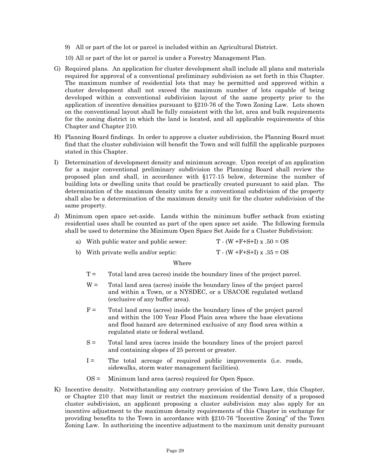9) All or part of the lot or parcel is included within an Agricultural District.

10) All or part of the lot or parcel is under a Forestry Management Plan.

- G) Required plans. An application for cluster development shall include all plans and materials required for approval of a conventional preliminary subdivision as set forth in this Chapter. The maximum number of residential lots that may be permitted and approved within a cluster development shall not exceed the maximum number of lots capable of being developed within a conventional subdivision layout of the same property prior to the application of incentive densities pursuant to §210-76 of the Town Zoning Law. Lots shown on the conventional layout shall be fully consistent with the lot, area and bulk requirements for the zoning district in which the land is located, and all applicable requirements of this Chapter and Chapter 210.
- H) Planning Board findings. In order to approve a cluster subdivision, the Planning Board must find that the cluster subdivision will benefit the Town and will fulfill the applicable purposes stated in this Chapter.
- I) Determination of development density and minimum acreage. Upon receipt of an application for a major conventional preliminary subdivision the Planning Board shall review the proposed plan and shall, in accordance with §177-15 below, determine the number of building lots or dwelling units that could be practically created pursuant to said plan. The determination of the maximum density units for a conventional subdivision of the property shall also be a determination of the maximum density unit for the cluster subdivision of the same property.
- J) Minimum open space set-aside. Lands within the minimum buffer setback from existing residential uses shall be counted as part of the open space set aside. The following formula shall be used to determine the Minimum Open Space Set Aside for a Cluster Subdivision:

| a) With public water and public sewer: | $T - (W + F + S + I)x$ . $50 = OS$ |
|----------------------------------------|------------------------------------|
| b) With private wells and/or septic:   | $T - (W + F + S + I)x$ . $35 = OS$ |

#### Where

- $T =$  Total land area (acres) inside the boundary lines of the project parcel.
- $W =$  Total land area (acres) inside the boundary lines of the project parcel and within a Town, or a NYSDEC, or a USACOE regulated wetland (exclusive of any buffer area).
- $F =$  Total land area (acres) inside the boundary lines of the project parcel and within the 100 Year Flood Plain area where the base elevations and flood hazard are determined exclusive of any flood area within a regulated state or federal wetland.
- S = Total land area (acres inside the boundary lines of the project parcel and containing slopes of 25 percent or greater.
- I = The total acreage of required public improvements (i.e. roads, sidewalks, storm water management facilities).
- OS = Minimum land area (acres) required for Open Space.
- K) Incentive density. Notwithstanding any contrary provision of the Town Law, this Chapter, or Chapter 210 that may limit or restrict the maximum residential density of a proposed cluster subdivision, an applicant proposing a cluster subdivision may also apply for an incentive adjustment to the maximum density requirements of this Chapter in exchange for providing benefits to the Town in accordance with §210-76 "Incentive Zoning" of the Town Zoning Law. In authorizing the incentive adjustment to the maximum unit density pursuant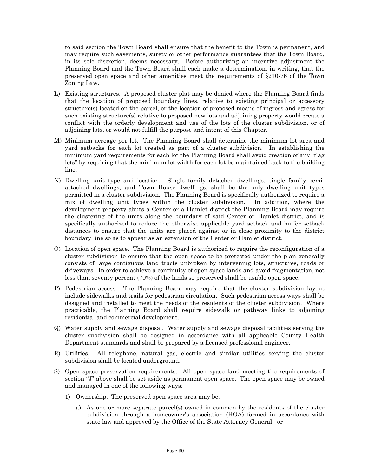to said section the Town Board shall ensure that the benefit to the Town is permanent, and may require such easements, surety or other performance guarantees that the Town Board, in its sole discretion, deems necessary. Before authorizing an incentive adjustment the Planning Board and the Town Board shall each make a determination, in writing, that the preserved open space and other amenities meet the requirements of §210-76 of the Town Zoning Law.

- L) Existing structures. A proposed cluster plat may be denied where the Planning Board finds that the location of proposed boundary lines, relative to existing principal or accessory structure(s) located on the parcel, or the location of proposed means of ingress and egress for such existing structure(s) relative to proposed new lots and adjoining property would create a conflict with the orderly development and use of the lots of the cluster subdivision, or of adjoining lots, or would not fulfill the purpose and intent of this Chapter.
- M) Minimum acreage per lot. The Planning Board shall determine the minimum lot area and yard setbacks for each lot created as part of a cluster subdivision. In establishing the minimum yard requirements for each lot the Planning Board shall avoid creation of any "flag lots" by requiring that the minimum lot width for each lot be maintained back to the building line.
- N) Dwelling unit type and location. Single family detached dwellings, single family semiattached dwellings, and Town House dwellings, shall be the only dwelling unit types permitted in a cluster subdivision. The Planning Board is specifically authorized to require a mix of dwelling unit types within the cluster subdivision. In addition, where the development property abuts a Center or a Hamlet district the Planning Board may require the clustering of the units along the boundary of said Center or Hamlet district, and is specifically authorized to reduce the otherwise applicable yard setback and buffer setback distances to ensure that the units are placed against or in close proximity to the district boundary line so as to appear as an extension of the Center or Hamlet district.
- O) Location of open space. The Planning Board is authorized to require the reconfiguration of a cluster subdivision to ensure that the open space to be protected under the plan generally consists of large contiguous land tracts unbroken by intervening lots, structures, roads or driveways. In order to achieve a continuity of open space lands and avoid fragmentation, not less than seventy percent (70%) of the lands so preserved shall be usable open space.
- P) Pedestrian access. The Planning Board may require that the cluster subdivision layout include sidewalks and trails for pedestrian circulation. Such pedestrian access ways shall be designed and installed to meet the needs of the residents of the cluster subdivision. Where practicable, the Planning Board shall require sidewalk or pathway links to adjoining residential and commercial development.
- Q) Water supply and sewage disposal. Water supply and sewage disposal facilities serving the cluster subdivision shall be designed in accordance with all applicable County Health Department standards and shall be prepared by a licensed professional engineer.
- R) Utilities. All telephone, natural gas, electric and similar utilities serving the cluster subdivision shall be located underground.
- S) Open space preservation requirements. All open space land meeting the requirements of section "J" above shall be set aside as permanent open space. The open space may be owned and managed in one of the following ways:
	- 1) Ownership. The preserved open space area may be:
		- a) As one or more separate parcel(s) owned in common by the residents of the cluster subdivision through a homeowner's association (HOA) formed in accordance with state law and approved by the Office of the State Attorney General; or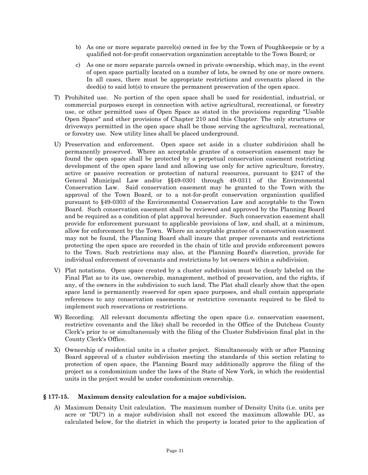- b) As one or more separate parcel(s) owned in fee by the Town of Poughkeepsie or by a qualified not-for-profit conservation organization acceptable to the Town Board; or
- c) As one or more separate parcels owned in private ownership, which may, in the event of open space partially located on a number of lots, be owned by one or more owners. In all cases, there must be appropriate restrictions and covenants placed in the deed(s) to said lot(s) to ensure the permanent preservation of the open space.
- T) Prohibited use. No portion of the open space shall be used for residential, industrial, or commercial purposes except in connection with active agricultural, recreational, or forestry use, or other permitted uses of Open Space as stated in the provisions regarding "Usable Open Space" and other provisions of Chapter 210 and this Chapter. The only structures or driveways permitted in the open space shall be those serving the agricultural, recreational, or forestry use. New utility lines shall be placed underground.
- U) Preservation and enforcement. Open space set aside in a cluster subdivision shall be permanently preserved. Where an acceptable grantee of a conservation easement may be found the open space shall be protected by a perpetual conservation easement restricting development of the open space land and allowing use only for active agriculture, forestry, active or passive recreation or protection of natural resources, pursuant to §247 of the General Municipal Law and/or §§49-0301 through 49-0311 of the Environmental Conservation Law. Said conservation easement may be granted to the Town with the approval of the Town Board, or to a not-for-profit conservation organization qualified pursuant to §49-0303 of the Environmental Conservation Law and acceptable to the Town Board. Such conservation easement shall be reviewed and approved by the Planning Board and be required as a condition of plat approval hereunder. Such conservation easement shall provide for enforcement pursuant to applicable provisions of law, and shall, at a minimum, allow for enforcement by the Town. Where an acceptable grantee of a conservation easement may not be found, the Planning Board shall insure that proper covenants and restrictions protecting the open space are recorded in the chain of title and provide enforcement powers to the Town. Such restrictions may also, at the Planning Board's discretion, provide for individual enforcement of covenants and restrictions by lot owners within a subdivision.
- V) Plat notations. Open space created by a cluster subdivision must be clearly labeled on the Final Plat as to its use, ownership, management, method of preservation, and the rights, if any, of the owners in the subdivision to such land. The Plat shall clearly show that the open space land is permanently reserved for open space purposes, and shall contain appropriate references to any conservation easements or restrictive covenants required to be filed to implement such reservations or restrictions.
- W) Recording. All relevant documents affecting the open space (i.e. conservation easement, restrictive covenants and the like) shall be recorded in the Office of the Dutchess County Clerk's prior to or simultaneously with the filing of the Cluster Subdivision final plat in the County Clerk's Office.
- X) Ownership of residential units in a cluster project. Simultaneously with or after Planning Board approval of a cluster subdivision meeting the standards of this section relating to protection of open space, the Planning Board may additionally approve the filing of the project as a condominium under the laws of the State of New York, in which the residential units in the project would be under condominium ownership.

#### **§ 177-15. Maximum density calculation for a major subdivision.**

A) Maximum Density Unit calculation. The maximum number of Density Units (i.e. units per acre or "DU") in a major subdivision shall not exceed the maximum allowable DU, as calculated below, for the district in which the property is located prior to the application of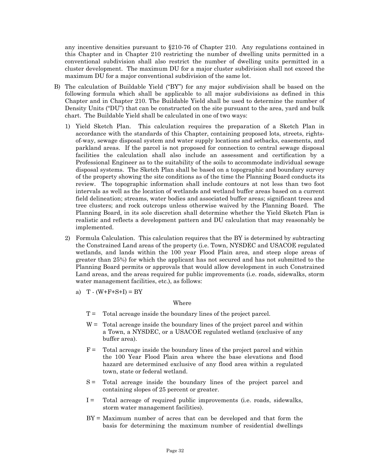any incentive densities pursuant to §210-76 of Chapter 210. Any regulations contained in this Chapter and in Chapter 210 restricting the number of dwelling units permitted in a conventional subdivision shall also restrict the number of dwelling units permitted in a cluster development. The maximum DU for a major cluster subdivision shall not exceed the maximum DU for a major conventional subdivision of the same lot.

- B) The calculation of Buildable Yield ("BY") for any major subdivision shall be based on the following formula which shall be applicable to all major subdivisions as defined in this Chapter and in Chapter 210. The Buildable Yield shall be used to determine the number of Density Units ("DU") that can be constructed on the site pursuant to the area, yard and bulk chart. The Buildable Yield shall be calculated in one of two ways:
	- 1) Yield Sketch Plan. This calculation requires the preparation of a Sketch Plan in accordance with the standards of this Chapter, containing proposed lots, streets, rightsof-way, sewage disposal system and water supply locations and setbacks, easements, and parkland areas. If the parcel is not proposed for connection to central sewage disposal facilities the calculation shall also include an assessment and certification by a Professional Engineer as to the suitability of the soils to accommodate individual sewage disposal systems. The Sketch Plan shall be based on a topographic and boundary survey of the property showing the site conditions as of the time the Planning Board conducts its review. The topographic information shall include contours at not less than two foot intervals as well as the location of wetlands and wetland buffer areas based on a current field delineation; streams, water bodies and associated buffer areas; significant trees and tree clusters; and rock outcrops unless otherwise waived by the Planning Board. The Planning Board, in its sole discretion shall determine whether the Yield Sketch Plan is realistic and reflects a development pattern and DU calculation that may reasonably be implemented.
	- 2) Formula Calculation. This calculation requires that the BY is determined by subtracting the Constrained Land areas of the property (i.e. Town, NYSDEC and USACOE regulated wetlands, and lands within the 100 year Flood Plain area, and steep slope areas of greater than 25%) for which the applicant has not secured and has not submitted to the Planning Board permits or approvals that would allow development in such Constrained Land areas, and the areas required for public improvements (i.e. roads, sidewalks, storm water management facilities, etc.), as follows:
		- a)  $T (W + F + S + I) = BY$

Where

- $T =$  Total acreage inside the boundary lines of the project parcel.
- $W =$  Total acreage inside the boundary lines of the project parcel and within a Town, a NYSDEC, or a USACOE regulated wetland (exclusive of any buffer area).
- $F =$  Total acreage inside the boundary lines of the project parcel and within the 100 Year Flood Plain area where the base elevations and flood hazard are determined exclusive of any flood area within a regulated town, state or federal wetland.
- S = Total acreage inside the boundary lines of the project parcel and containing slopes of 25 percent or greater.
- $I =$  Total acreage of required public improvements (i.e. roads, sidewalks, storm water management facilities).
- BY = Maximum number of acres that can be developed and that form the basis for determining the maximum number of residential dwellings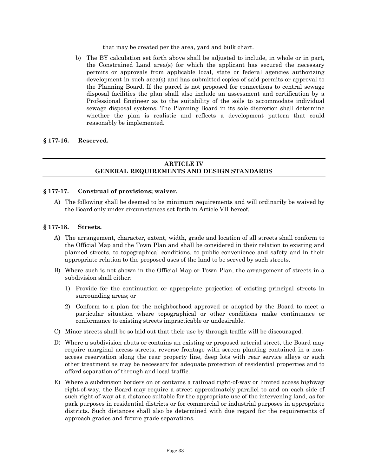that may be created per the area, yard and bulk chart.

b) The BY calculation set forth above shall be adjusted to include, in whole or in part, the Constrained Land area(s) for which the applicant has secured the necessary permits or approvals from applicable local, state or federal agencies authorizing development in such area(s) and has submitted copies of said permits or approval to the Planning Board. If the parcel is not proposed for connections to central sewage disposal facilities the plan shall also include an assessment and certification by a Professional Engineer as to the suitability of the soils to accommodate individual sewage disposal systems. The Planning Board in its sole discretion shall determine whether the plan is realistic and reflects a development pattern that could reasonably be implemented.

# **§ 177-16. Reserved.**

# **ARTICLE IV GENERAL REQUIREMENTS AND DESIGN STANDARDS**

#### **§ 177-17. Construal of provisions; waiver.**

A) The following shall be deemed to be minimum requirements and will ordinarily be waived by the Board only under circumstances set forth in Article VII hereof.

#### **§ 177-18. Streets.**

- A) The arrangement, character, extent, width, grade and location of all streets shall conform to the Official Map and the Town Plan and shall be considered in their relation to existing and planned streets, to topographical conditions, to public convenience and safety and in their appropriate relation to the proposed uses of the land to be served by such streets.
- B) Where such is not shown in the Official Map or Town Plan, the arrangement of streets in a subdivision shall either:
	- 1) Provide for the continuation or appropriate projection of existing principal streets in surrounding areas; or
	- 2) Conform to a plan for the neighborhood approved or adopted by the Board to meet a particular situation where topographical or other conditions make continuance or conformance to existing streets impracticable or undesirable.
- C) Minor streets shall be so laid out that their use by through traffic will be discouraged.
- D) Where a subdivision abuts or contains an existing or proposed arterial street, the Board may require marginal access streets, reverse frontage with screen planting contained in a nonaccess reservation along the rear property line, deep lots with rear service alleys or such other treatment as may be necessary for adequate protection of residential properties and to afford separation of through and local traffic.
- E) Where a subdivision borders on or contains a railroad right-of-way or limited access highway right-of-way, the Board may require a street approximately parallel to and on each side of such right-of-way at a distance suitable for the appropriate use of the intervening land, as for park purposes in residential districts or for commercial or industrial purposes in appropriate districts. Such distances shall also be determined with due regard for the requirements of approach grades and future grade separations.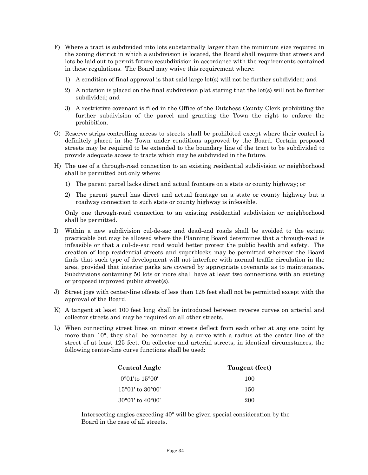- F) Where a tract is subdivided into lots substantially larger than the minimum size required in the zoning district in which a subdivision is located, the Board shall require that streets and lots be laid out to permit future resubdivision in accordance with the requirements contained in these regulations. The Board may waive this requirement where:
	- 1) A condition of final approval is that said large lot(s) will not be further subdivided; and
	- 2) A notation is placed on the final subdivision plat stating that the lot(s) will not be further subdivided; and
	- 3) A restrictive covenant is filed in the Office of the Dutchess County Clerk prohibiting the further subdivision of the parcel and granting the Town the right to enforce the prohibition.
- G) Reserve strips controlling access to streets shall be prohibited except where their control is definitely placed in the Town under conditions approved by the Board. Certain proposed streets may be required to be extended to the boundary line of the tract to be subdivided to provide adequate access to tracts which may be subdivided in the future.
- H) The use of a through-road connection to an existing residential subdivision or neighborhood shall be permitted but only where:
	- 1) The parent parcel lacks direct and actual frontage on a state or county highway; or
	- 2) The parent parcel has direct and actual frontage on a state or county highway but a roadway connection to such state or county highway is infeasible.

Only one through-road connection to an existing residential subdivision or neighborhood shall be permitted.

- I) Within a new subdivision cul-de-sac and dead-end roads shall be avoided to the extent practicable but may be allowed where the Planning Board determines that a through-road is infeasible or that a cul-de-sac road would better protect the public health and safety. The creation of loop residential streets and superblocks may be permitted wherever the Board finds that such type of development will not interfere with normal traffic circulation in the area, provided that interior parks are covered by appropriate covenants as to maintenance. Subdivisions containing 50 lots or more shall have at least two connections with an existing or proposed improved public street(s).
- J) Street jogs with center-line offsets of less than 125 feet shall not be permitted except with the approval of the Board.
- K) A tangent at least 100 feet long shall be introduced between reverse curves on arterial and collector streets and may be required on all other streets.
- L) When connecting street lines on minor streets deflect from each other at any one point by more than 10°, they shall be connected by a curve with a radius at the center line of the street of at least 125 feet. On collector and arterial streets, in identical circumstances, the following center-line curve functions shall be used:

| <b>Central Angle</b>               | Tangent (feet) |  |
|------------------------------------|----------------|--|
| $0^{\circ}01'$ to 15°00'           | 100            |  |
| $15^{\circ}01'$ to $30^{\circ}00'$ | 150            |  |
| $30^{\circ}01'$ to $40^{\circ}00'$ | 200            |  |

Intersecting angles exceeding 40° will be given special consideration by the Board in the case of all streets.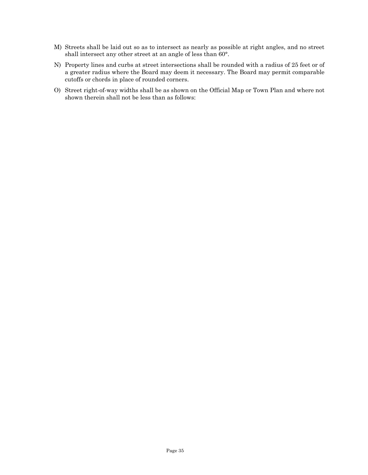- M) Streets shall be laid out so as to intersect as nearly as possible at right angles, and no street shall intersect any other street at an angle of less than 60°.
- N) Property lines and curbs at street intersections shall be rounded with a radius of 25 feet or of a greater radius where the Board may deem it necessary. The Board may permit comparable cutoffs or chords in place of rounded corners.
- O) Street right-of-way widths shall be as shown on the Official Map or Town Plan and where not shown therein shall not be less than as follows: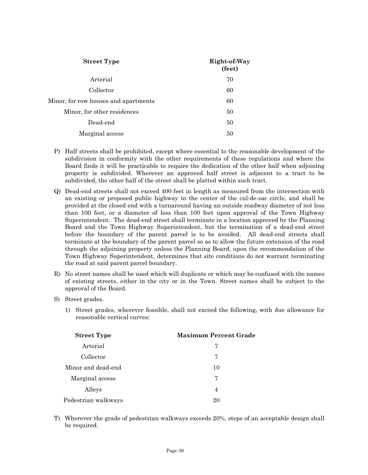| <b>Street Type</b>                   | Right-of-Way<br>(feet) |  |
|--------------------------------------|------------------------|--|
| Arterial                             | 70                     |  |
| Collector                            | 60                     |  |
| Minor, for row houses and apartments | 60                     |  |
| Minor, for other residences          | 50                     |  |
| Dead-end                             | 50                     |  |
| Marginal access                      | 50                     |  |

- P) Half streets shall be prohibited, except where essential to the reasonable development of the subdivision in conformity with the other requirements of these regulations and where the Board finds it will be practicable to require the dedication of the other half when adjoining property is subdivided. Wherever an approved half street is adjacent to a tract to be subdivided, the other half of the street shall be platted within such tract.
- Q) Dead-end streets shall not exceed 400 feet in length as measured from the intersection with an existing or proposed public highway to the center of the cul-de-sac circle, and shall be provided at the closed end with a turnaround having an outside roadway diameter of not less than 100 feet, or a diameter of less than 100 feet upon approval of the Town Highway Superintendent. The dead-end street shall terminate in a location approved by the Planning Board and the Town Highway Superintendent, but the termination of a dead-end street before the boundary of the parent parcel is to be avoided. All dead-end streets shall terminate at the boundary of the parent parcel so as to allow the future extension of the road through the adjoining property unless the Planning Board, upon the recommendation of the Town Highway Superintendent, determines that site conditions do not warrant terminating the road at said parent parcel boundary.
- R) No street names shall be used which will duplicate or which may be confused with the names of existing streets, either in the city or in the Town. Street names shall be subject to the approval of the Board.
- S) Street grades.
	- 1) Street grades, wherever feasible, shall not exceed the following, with due allowance for reasonable vertical curves:

| <b>Street Type</b>  | <b>Maximum Percent Grade</b> |  |
|---------------------|------------------------------|--|
| Arterial            | 7                            |  |
| Collector           | 7                            |  |
| Minor and dead-end  | 10                           |  |
| Marginal access     | 7                            |  |
| Alleys              | $\overline{4}$               |  |
| Pedestrian walkways | 20                           |  |

T) Wherever the grade of pedestrian walkways exceeds 20%, steps of an acceptable design shall be required.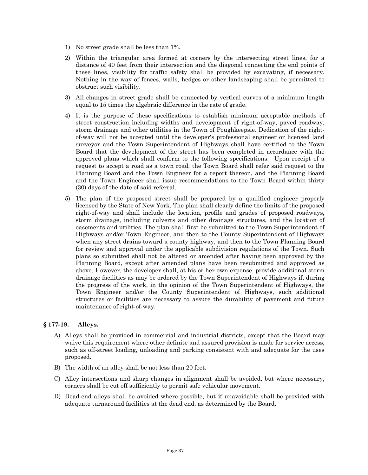- 1) No street grade shall be less than 1%.
- 2) Within the triangular area formed at corners by the intersecting street lines, for a distance of 40 feet from their intersection and the diagonal connecting the end points of these lines, visibility for traffic safety shall be provided by excavating, if necessary. Nothing in the way of fences, walls, hedges or other landscaping shall be permitted to obstruct such visibility.
- 3) All changes in street grade shall be connected by vertical curves of a minimum length equal to 15 times the algebraic difference in the rate of grade.
- 4) It is the purpose of these specifications to establish minimum acceptable methods of street construction including widths and development of right-of-way, paved roadway, storm drainage and other utilities in the Town of Poughkeepsie. Dedication of the rightof-way will not be accepted until the developer's professional engineer or licensed land surveyor and the Town Superintendent of Highways shall have certified to the Town Board that the development of the street has been completed in accordance with the approved plans which shall conform to the following specifications. Upon receipt of a request to accept a road as a town road, the Town Board shall refer said request to the Planning Board and the Town Engineer for a report thereon, and the Planning Board and the Town Engineer shall issue recommendations to the Town Board within thirty (30) days of the date of said referral.
- 5) The plan of the proposed street shall be prepared by a qualified engineer properly licensed by the State of New York. The plan shall clearly define the limits of the proposed right-of-way and shall include the location, profile and grades of proposed roadways, storm drainage, including culverts and other drainage structures, and the location of easements and utilities. The plan shall first be submitted to the Town Superintendent of Highways and/or Town Engineer, and then to the County Superintendent of Highways when any street drains toward a county highway, and then to the Town Planning Board for review and approval under the applicable subdivision regulations of the Town. Such plans so submitted shall not be altered or amended after having been approved by the Planning Board, except after amended plans have been resubmitted and approved as above. However, the developer shall, at his or her own expense, provide additional storm drainage facilities as may be ordered by the Town Superintendent of Highways if, during the progress of the work, in the opinion of the Town Superintendent of Highways, the Town Engineer and/or the County Superintendent of Highways, such additional structures or facilities are necessary to assure the durability of pavement and future maintenance of right-of-way.

# **§ 177-19. Alleys.**

- A) Alleys shall be provided in commercial and industrial districts, except that the Board may waive this requirement where other definite and assured provision is made for service access, such as off-street loading, unloading and parking consistent with and adequate for the uses proposed.
- B) The width of an alley shall be not less than 20 feet.
- C) Alley intersections and sharp changes in alignment shall be avoided, but where necessary, corners shall be cut off sufficiently to permit safe vehicular movement.
- D) Dead-end alleys shall be avoided where possible, but if unavoidable shall be provided with adequate turnaround facilities at the dead end, as determined by the Board.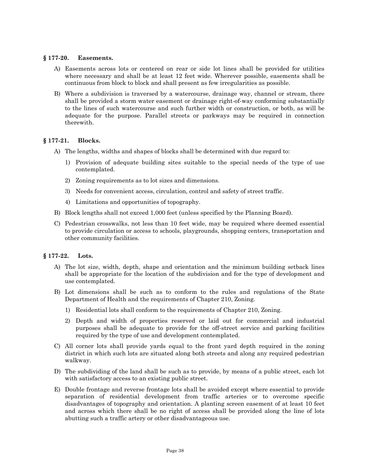#### **§ 177-20. Easements.**

- A) Easements across lots or centered on rear or side lot lines shall be provided for utilities where necessary and shall be at least 12 feet wide. Wherever possible, easements shall be continuous from block to block and shall present as few irregularities as possible.
- B) Where a subdivision is traversed by a watercourse, drainage way, channel or stream, there shall be provided a storm water easement or drainage right-of-way conforming substantially to the lines of such watercourse and such further width or construction, or both, as will be adequate for the purpose. Parallel streets or parkways may be required in connection therewith.

# **§ 177-21. Blocks.**

- A) The lengths, widths and shapes of blocks shall be determined with due regard to:
	- 1) Provision of adequate building sites suitable to the special needs of the type of use contemplated.
	- 2) Zoning requirements as to lot sizes and dimensions.
	- 3) Needs for convenient access, circulation, control and safety of street traffic.
	- 4) Limitations and opportunities of topography.
- B) Block lengths shall not exceed 1,000 feet (unless specified by the Planning Board).
- C) Pedestrian crosswalks, not less than 10 feet wide, may be required where deemed essential to provide circulation or access to schools, playgrounds, shopping centers, transportation and other community facilities.

#### **§ 177-22. Lots.**

- A) The lot size, width, depth, shape and orientation and the minimum building setback lines shall be appropriate for the location of the subdivision and for the type of development and use contemplated.
- B) Lot dimensions shall be such as to conform to the rules and regulations of the State Department of Health and the requirements of Chapter 210, Zoning.
	- 1) Residential lots shall conform to the requirements of Chapter 210, Zoning.
	- 2) Depth and width of properties reserved or laid out for commercial and industrial purposes shall be adequate to provide for the off-street service and parking facilities required by the type of use and development contemplated.
- C) All corner lots shall provide yards equal to the front yard depth required in the zoning district in which such lots are situated along both streets and along any required pedestrian walkway.
- D) The subdividing of the land shall be such as to provide, by means of a public street, each lot with satisfactory access to an existing public street.
- E) Double frontage and reverse frontage lots shall be avoided except where essential to provide separation of residential development from traffic arteries or to overcome specific disadvantages of topography and orientation. A planting screen easement of at least 10 feet and across which there shall be no right of access shall be provided along the line of lots abutting such a traffic artery or other disadvantageous use.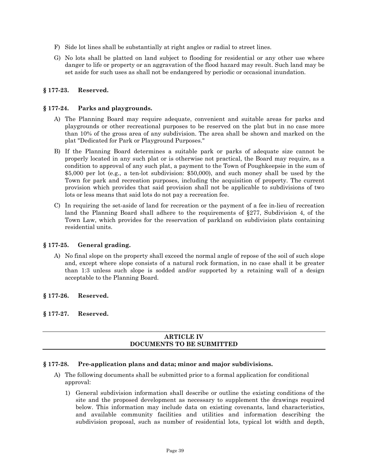- F) Side lot lines shall be substantially at right angles or radial to street lines.
- G) No lots shall be platted on land subject to flooding for residential or any other use where danger to life or property or an aggravation of the flood hazard may result. Such land may be set aside for such uses as shall not be endangered by periodic or occasional inundation.

# **§ 177-23. Reserved.**

#### **§ 177-24. Parks and playgrounds.**

- A) The Planning Board may require adequate, convenient and suitable areas for parks and playgrounds or other recreational purposes to be reserved on the plat but in no case more than 10% of the gross area of any subdivision. The area shall be shown and marked on the plat "Dedicated for Park or Playground Purposes."
- B) If the Planning Board determines a suitable park or parks of adequate size cannot be properly located in any such plat or is otherwise not practical, the Board may require, as a condition to approval of any such plat, a payment to the Town of Poughkeepsie in the sum of \$5,000 per lot (e.g., a ten-lot subdivision: \$50,000), and such money shall be used by the Town for park and recreation purposes, including the acquisition of property. The current provision which provides that said provision shall not be applicable to subdivisions of two lots or less means that said lots do not pay a recreation fee.
- C) In requiring the set-aside of land for recreation or the payment of a fee in-lieu of recreation land the Planning Board shall adhere to the requirements of §277, Subdivision 4, of the Town Law, which provides for the reservation of parkland on subdivision plats containing residential units.

#### **§ 177-25. General grading.**

A) No final slope on the property shall exceed the normal angle of repose of the soil of such slope and, except where slope consists of a natural rock formation, in no case shall it be greater than 1:3 unless such slope is sodded and/or supported by a retaining wall of a design acceptable to the Planning Board.

#### **§ 177-26. Reserved.**

# **§ 177-27. Reserved.**

# **ARTICLE IV DOCUMENTS TO BE SUBMITTED**

#### **§ 177-28. Pre-application plans and data; minor and major subdivisions.**

- A) The following documents shall be submitted prior to a formal application for conditional approval:
	- 1) General subdivision information shall describe or outline the existing conditions of the site and the proposed development as necessary to supplement the drawings required below. This information may include data on existing covenants, land characteristics, and available community facilities and utilities and information describing the subdivision proposal, such as number of residential lots, typical lot width and depth,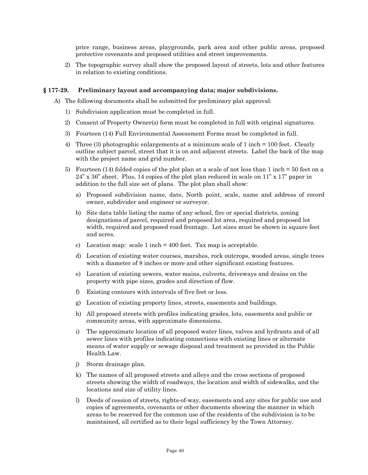price range, business areas, playgrounds, park area and other public areas, proposed protective covenants and proposed utilities and street improvements.

2) The topographic survey shall show the proposed layout of streets, lots and other features in relation to existing conditions.

#### **§ 177-29. Preliminary layout and accompanying data; major subdivisions.**

A) The following documents shall be submitted for preliminary plat approval:

- 1) Subdivision application must be completed in full.
- 2) Consent of Property Owner(s) form must be completed in full with original signatures.
- 3) Fourteen (14) Full Environmental Assessment Forms must be completed in full.
- 4) Three (3) photographic enlargements at a minimum scale of 1 inch = 100 feet. Clearly outline subject parcel, street that it is on and adjacent streets. Label the back of the map with the project name and grid number.
- 5) Fourteen (14) folded copies of the plot plan at a scale of not less than 1 inch = 50 feet on a  $24$ " x  $36$ " sheet. Plus, 14 copies of the plot plan reduced in scale on 11" x 17" paper in addition to the full size set of plans. The plot plan shall show:
	- a) Proposed subdivision name, date, North point, scale, name and address of record owner, subdivider and engineer or surveyor.
	- b) Site data table listing the name of any school, fire or special districts, zoning designations of parcel, required and proposed lot area, required and proposed lot width, required and proposed road frontage. Lot sizes must be shown in square feet and acres.
	- c) Location map: scale  $1$  inch  $=$  400 feet. Tax map is acceptable.
	- d) Location of existing water courses, marshes, rock outcrops, wooded areas, single trees with a diameter of 8 inches or more and other significant existing features.
	- e) Location of existing sewers, water mains, culverts, driveways and drains on the property with pipe sizes, grades and direction of flow.
	- f) Existing contours with intervals of five feet or less.
	- g) Location of existing property lines, streets, easements and buildings.
	- h) All proposed streets with profiles indicating grades, lots, easements and public or community areas, with approximate dimensions.
	- i) The approximate location of all proposed water lines, valves and hydrants and of all sewer lines with profiles indicating connections with existing lines or alternate means of water supply or sewage disposal and treatment as provided in the Public Health Law.
	- j) Storm drainage plan.
	- k) The names of all proposed streets and alleys and the cross sections of proposed streets showing the width of roadways, the location and width of sidewalks, and the locations and size of utility lines.
	- l) Deeds of cession of streets, rights-of-way, easements and any sites for public use and copies of agreements, covenants or other documents showing the manner in which areas to be reserved for the common use of the residents of the subdivision is to be maintained, all certified as to their legal sufficiency by the Town Attorney.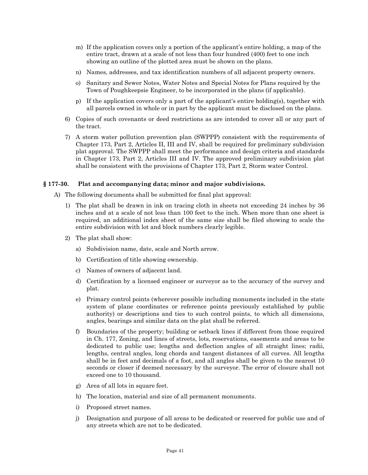- m) If the application covers only a portion of the applicant's entire holding, a map of the entire tract, drawn at a scale of not less than four hundred (400) feet to one inch showing an outline of the plotted area must be shown on the plans.
- n) Names, addresses, and tax identification numbers of all adjacent property owners.
- o) Sanitary and Sewer Notes, Water Notes and Special Notes for Plans required by the Town of Poughkeepsie Engineer, to be incorporated in the plans (if applicable).
- p) If the application covers only a part of the applicant's entire holding(s), together with all parcels owned in whole or in part by the applicant must be disclosed on the plans.
- 6) Copies of such covenants or deed restrictions as are intended to cover all or any part of the tract.
- 7) A storm water pollution prevention plan (SWPPP) consistent with the requirements of Chapter 173, Part 2, Articles II, III and IV, shall be required for preliminary subdivision plat approval. The SWPPP shall meet the performance and design criteria and standards in Chapter 173, Part 2, Articles III and IV. The approved preliminary subdivision plat shall be consistent with the provisions of Chapter 173, Part 2, Storm water Control.

#### **§ 177-30. Plat and accompanying data; minor and major subdivisions.**

A) The following documents shall be submitted for final plat approval:

- 1) The plat shall be drawn in ink on tracing cloth in sheets not exceeding 24 inches by 36 inches and at a scale of not less than 100 feet to the inch. When more than one sheet is required, an additional index sheet of the same size shall be filed showing to scale the entire subdivision with lot and block numbers clearly legible.
- 2) The plat shall show:
	- a) Subdivision name, date, scale and North arrow.
	- b) Certification of title showing ownership.
	- c) Names of owners of adjacent land.
	- d) Certification by a licensed engineer or surveyor as to the accuracy of the survey and plat.
	- e) Primary control points (wherever possible including monuments included in the state system of plane coordinates or reference points previously established by public authority) or descriptions and ties to such control points, to which all dimensions, angles, bearings and similar data on the plat shall be referred.
	- f) Boundaries of the property; building or setback lines if different from those required in Ch. 177, Zoning, and lines of streets, lots, reservations, easements and areas to be dedicated to public use; lengths and deflection angles of all straight lines; radii, lengths, central angles, long chords and tangent distances of all curves. All lengths shall be in feet and decimals of a foot, and all angles shall be given to the nearest 10 seconds or closer if deemed necessary by the surveyor. The error of closure shall not exceed one to 10 thousand.
	- g) Area of all lots in square feet.
	- h) The location, material and size of all permanent monuments.
	- i) Proposed street names.
	- j) Designation and purpose of all areas to be dedicated or reserved for public use and of any streets which are not to be dedicated.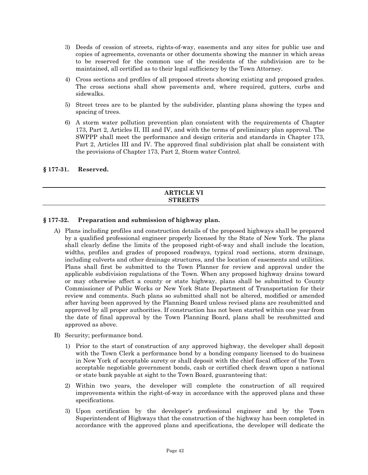- 3) Deeds of cession of streets, rights-of-way, easements and any sites for public use and copies of agreements, covenants or other documents showing the manner in which areas to be reserved for the common use of the residents of the subdivision are to be maintained, all certified as to their legal sufficiency by the Town Attorney.
- 4) Cross sections and profiles of all proposed streets showing existing and proposed grades. The cross sections shall show pavements and, where required, gutters, curbs and sidewalks.
- 5) Street trees are to be planted by the subdivider, planting plans showing the types and spacing of trees.
- 6) A storm water pollution prevention plan consistent with the requirements of Chapter 173, Part 2, Articles II, III and IV, and with the terms of preliminary plan approval. The SWPPP shall meet the performance and design criteria and standards in Chapter 173, Part 2, Articles III and IV. The approved final subdivision plat shall be consistent with the provisions of Chapter 173, Part 2, Storm water Control.

# **§ 177-31. Reserved.**

#### **ARTICLE VI STREETS**

# **§ 177-32. Preparation and submission of highway plan.**

- A) Plans including profiles and construction details of the proposed highways shall be prepared by a qualified professional engineer properly licensed by the State of New York. The plans shall clearly define the limits of the proposed right-of-way and shall include the location, widths, profiles and grades of proposed roadways, typical road sections, storm drainage, including culverts and other drainage structures, and the location of easements and utilities. Plans shall first be submitted to the Town Planner for review and approval under the applicable subdivision regulations of the Town. When any proposed highway drains toward or may otherwise affect a county or state highway, plans shall be submitted to County Commissioner of Public Works or New York State Department of Transportation for their review and comments. Such plans so submitted shall not be altered, modified or amended after having been approved by the Planning Board unless revised plans are resubmitted and approved by all proper authorities. If construction has not been started within one year from the date of final approval by the Town Planning Board, plans shall be resubmitted and approved as above.
- B) Security; performance bond.
	- 1) Prior to the start of construction of any approved highway, the developer shall deposit with the Town Clerk a performance bond by a bonding company licensed to do business in New York of acceptable surety or shall deposit with the chief fiscal officer of the Town acceptable negotiable government bonds, cash or certified check drawn upon a national or state bank payable at sight to the Town Board, guaranteeing that:
	- 2) Within two years, the developer will complete the construction of all required improvements within the right-of-way in accordance with the approved plans and these specifications.
	- 3) Upon certification by the developer's professional engineer and by the Town Superintendent of Highways that the construction of the highway has been completed in accordance with the approved plans and specifications, the developer will dedicate the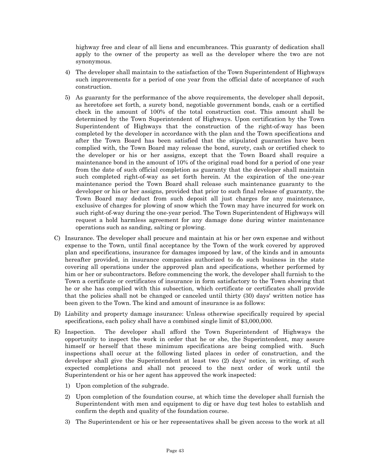highway free and clear of all liens and encumbrances. This guaranty of dedication shall apply to the owner of the property as well as the developer where the two are not synonymous.

- 4) The developer shall maintain to the satisfaction of the Town Superintendent of Highways such improvements for a period of one year from the official date of acceptance of such construction.
- 5) As guaranty for the performance of the above requirements, the developer shall deposit, as heretofore set forth, a surety bond, negotiable government bonds, cash or a certified check in the amount of 100% of the total construction cost. This amount shall be determined by the Town Superintendent of Highways. Upon certification by the Town Superintendent of Highways that the construction of the right-of-way has been completed by the developer in accordance with the plan and the Town specifications and after the Town Board has been satisfied that the stipulated guaranties have been complied with, the Town Board may release the bond, surety, cash or certified check to the developer or his or her assigns, except that the Town Board shall require a maintenance bond in the amount of 10% of the original road bond for a period of one year from the date of such official completion as guaranty that the developer shall maintain such completed right-of-way as set forth herein. At the expiration of the one-year maintenance period the Town Board shall release such maintenance guaranty to the developer or his or her assigns, provided that prior to such final release of guaranty, the Town Board may deduct from such deposit all just charges for any maintenance, exclusive of charges for plowing of snow which the Town may have incurred for work on such right-of-way during the one-year period. The Town Superintendent of Highways will request a hold harmless agreement for any damage done during winter maintenance operations such as sanding, salting or plowing.
- C) Insurance. The developer shall procure and maintain at his or her own expense and without expense to the Town, until final acceptance by the Town of the work covered by approved plan and specifications, insurance for damages imposed by law, of the kinds and in amounts hereafter provided, in insurance companies authorized to do such business in the state covering all operations under the approved plan and specifications, whether performed by him or her or subcontractors. Before commencing the work, the developer shall furnish to the Town a certificate or certificates of insurance in form satisfactory to the Town showing that he or she has complied with this subsection, which certificate or certificates shall provide that the policies shall not be changed or canceled until thirty (30) days' written notice has been given to the Town. The kind and amount of insurance is as follows:
- D) Liability and property damage insurance: Unless otherwise specifically required by special specifications, each policy shall have a combined single limit of \$3,000,000.
- E) Inspection. The developer shall afford the Town Superintendent of Highways the opportunity to inspect the work in order that he or she, the Superintendent, may assure himself or herself that these minimum specifications are being complied with. Such inspections shall occur at the following listed places in order of construction, and the developer shall give the Superintendent at least two (2) days' notice, in writing, of such expected completions and shall not proceed to the next order of work until the Superintendent or his or her agent has approved the work inspected:
	- 1) Upon completion of the subgrade.
	- 2) Upon completion of the foundation course, at which time the developer shall furnish the Superintendent with men and equipment to dig or have dug test holes to establish and confirm the depth and quality of the foundation course.
	- 3) The Superintendent or his or her representatives shall be given access to the work at all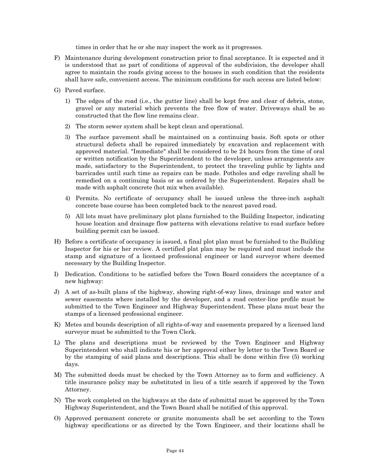times in order that he or she may inspect the work as it progresses.

- F) Maintenance during development construction prior to final acceptance. It is expected and it is understood that as part of conditions of approval of the subdivision, the developer shall agree to maintain the roads giving access to the houses in such condition that the residents shall have safe, convenient access. The minimum conditions for such access are listed below:
- G) Paved surface.
	- 1) The edges of the road (i.e., the gutter line) shall be kept free and clear of debris, stone, gravel or any material which prevents the free flow of water. Driveways shall be so constructed that the flow line remains clear.
	- 2) The storm sewer system shall be kept clean and operational.
	- 3) The surface pavement shall be maintained on a continuing basis. Soft spots or other structural defects shall be repaired immediately by excavation and replacement with approved material. "Immediate" shall be considered to be 24 hours from the time of oral or written notification by the Superintendent to the developer, unless arrangements are made, satisfactory to the Superintendent, to protect the traveling public by lights and barricades until such time as repairs can be made. Potholes and edge raveling shall be remedied on a continuing basis or as ordered by the Superintendent. Repairs shall be made with asphalt concrete (hot mix when available).
	- 4) Permits. No certificate of occupancy shall be issued unless the three-inch asphalt concrete base course has been completed back to the nearest paved road.
	- 5) All lots must have preliminary plot plans furnished to the Building Inspector, indicating house location and drainage flow patterns with elevations relative to road surface before building permit can be issued.
- H) Before a certificate of occupancy is issued, a final plot plan must be furnished to the Building Inspector for his or her review. A certified plat plan may be required and must include the stamp and signature of a licensed professional engineer or land surveyor where deemed necessary by the Building Inspector.
- I) Dedication. Conditions to be satisfied before the Town Board considers the acceptance of a new highway:
- J) A set of as-built plans of the highway, showing right-of-way lines, drainage and water and sewer easements where installed by the developer, and a road center-line profile must be submitted to the Town Engineer and Highway Superintendent. These plans must bear the stamps of a licensed professional engineer.
- K) Metes and bounds description of all rights-of-way and easements prepared by a licensed land surveyor must be submitted to the Town Clerk.
- L) The plans and descriptions must be reviewed by the Town Engineer and Highway Superintendent who shall indicate his or her approval either by letter to the Town Board or by the stamping of said plans and descriptions. This shall be done within five (5) working days.
- M) The submitted deeds must be checked by the Town Attorney as to form and sufficiency. A title insurance policy may be substituted in lieu of a title search if approved by the Town Attorney.
- N) The work completed on the highways at the date of submittal must be approved by the Town Highway Superintendent, and the Town Board shall be notified of this approval.
- O) Approved permanent concrete or granite monuments shall be set according to the Town highway specifications or as directed by the Town Engineer, and their locations shall be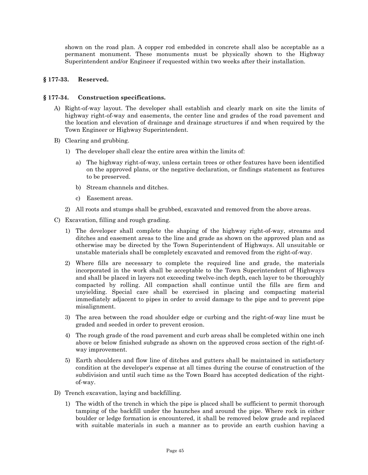shown on the road plan. A copper rod embedded in concrete shall also be acceptable as a permanent monument. These monuments must be physically shown to the Highway Superintendent and/or Engineer if requested within two weeks after their installation.

# **§ 177-33. Reserved.**

#### **§ 177-34. Construction specifications.**

- A) Right-of-way layout. The developer shall establish and clearly mark on site the limits of highway right-of-way and easements, the center line and grades of the road pavement and the location and elevation of drainage and drainage structures if and when required by the Town Engineer or Highway Superintendent.
- B) Clearing and grubbing.
	- 1) The developer shall clear the entire area within the limits of:
		- a) The highway right-of-way, unless certain trees or other features have been identified on the approved plans, or the negative declaration, or findings statement as features to be preserved.
		- b) Stream channels and ditches.
		- c) Easement areas.
	- 2) All roots and stumps shall be grubbed, excavated and removed from the above areas.
- C) Excavation, filling and rough grading.
	- 1) The developer shall complete the shaping of the highway right-of-way, streams and ditches and easement areas to the line and grade as shown on the approved plan and as otherwise may be directed by the Town Superintendent of Highways. All unsuitable or unstable materials shall be completely excavated and removed from the right-of-way.
	- 2) Where fills are necessary to complete the required line and grade, the materials incorporated in the work shall be acceptable to the Town Superintendent of Highways and shall be placed in layers not exceeding twelve-inch depth, each layer to be thoroughly compacted by rolling. All compaction shall continue until the fills are firm and unyielding. Special care shall be exercised in placing and compacting material immediately adjacent to pipes in order to avoid damage to the pipe and to prevent pipe misalignment.
	- 3) The area between the road shoulder edge or curbing and the right-of-way line must be graded and seeded in order to prevent erosion.
	- 4) The rough grade of the road pavement and curb areas shall be completed within one inch above or below finished subgrade as shown on the approved cross section of the right-ofway improvement.
	- 5) Earth shoulders and flow line of ditches and gutters shall be maintained in satisfactory condition at the developer's expense at all times during the course of construction of the subdivision and until such time as the Town Board has accepted dedication of the rightof-way.
- D) Trench excavation, laying and backfilling.
	- 1) The width of the trench in which the pipe is placed shall be sufficient to permit thorough tamping of the backfill under the haunches and around the pipe. Where rock in either boulder or ledge formation is encountered, it shall be removed below grade and replaced with suitable materials in such a manner as to provide an earth cushion having a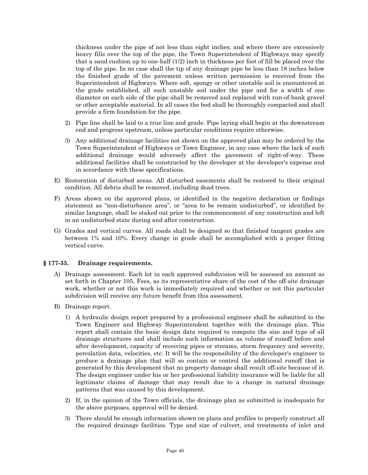thickness under the pipe of not less than eight inches; and where there are excessively heavy fills over the top of the pipe, the Town Superintendent of Highways may specify that a sand cushion up to one-half (1/2) inch in thickness per foot of fill be placed over the top of the pipe. In no case shall the tip of any drainage pipe be less than 18 inches below the finished grade of the pavement unless written permission is received from the Superintendent of Highways. Where soft, spongy or other unstable soil is encountered at the grade established, all such unstable soil under the pipe and for a width of one diameter on each side of the pipe shall be removed and replaced with run-of-bank gravel or other acceptable material. In all cases the bed shall be thoroughly compacted and shall provide a firm foundation for the pipe.

- 2) Pipe line shall be laid to a true line and grade. Pipe laying shall begin at the downstream end and progress upstream, unless particular conditions require otherwise.
- 3) Any additional drainage facilities not shown on the approved plan may be ordered by the Town Superintendent of Highways or Town Engineer, in any case where the lack of such additional drainage would adversely affect the pavement of right-of-way. These additional facilities shall be constructed by the developer at the developer's expense and in accordance with these specifications.
- E) Restoration of disturbed areas. All disturbed easements shall be restored to their original condition. All debris shall be removed, including dead trees.
- F) Areas shown on the approved plans, or identified in the negative declaration or findings statement as "non-disturbance area", or "area to be remain undisturbed", or identified by similar language, shall be staked out prior to the commencement of any construction and left in an undisturbed state during and after construction.
- G) Grades and vertical curves. All roads shall be designed so that finished tangent grades are between 1% and 10%. Every change in grade shall be accomplished with a proper fitting vertical curve.

#### **§ 177-35. Drainage requirements.**

- A) Drainage assessment. Each lot in each approved subdivision will be assessed an amount as set forth in Chapter 105, Fees, as its representative share of the cost of the off-site drainage work, whether or not this work is immediately required and whether or not this particular subdivision will receive any future benefit from this assessment.
- B) Drainage report.
	- 1) A hydraulic design report prepared by a professional engineer shall be submitted to the Town Engineer and Highway Superintendent together with the drainage plan. This report shall contain the basic design data required to compute the size and type of all drainage structures and shall include such information as volume of runoff before and after development, capacity of receiving pipes or streams, storm frequency and severity, percolation data, velocities, etc. It will be the responsibility of the developer's engineer to produce a drainage plan that will so contain or control the additional runoff that is generated by this development that no property damage shall result off-site because of it. The design engineer under his or her professional liability insurance will be liable for all legitimate claims of damage that may result due to a change in natural drainage patterns that was caused by this development.
	- 2) If, in the opinion of the Town officials, the drainage plan as submitted is inadequate for the above purposes, approval will be denied.
	- 3) There should be enough information shown on plans and profiles to properly construct all the required drainage facilities. Type and size of culvert, end treatments of inlet and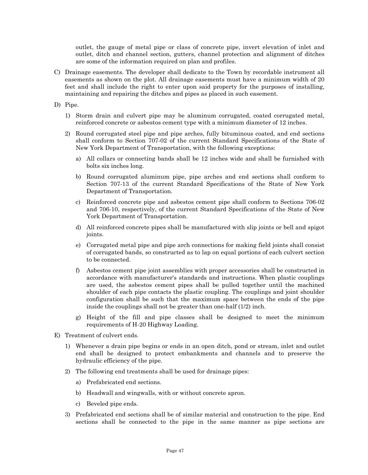outlet, the gauge of metal pipe or class of concrete pipe, invert elevation of inlet and outlet, ditch and channel section, gutters, channel protection and alignment of ditches are some of the information required on plan and profiles.

- C) Drainage easements. The developer shall dedicate to the Town by recordable instrument all easements as shown on the plot. All drainage easements must have a minimum width of 20 feet and shall include the right to enter upon said property for the purposes of installing, maintaining and repairing the ditches and pipes as placed in such easement.
- D) Pipe.
	- 1) Storm drain and culvert pipe may be aluminum corrugated, coated corrugated metal, reinforced concrete or asbestos cement type with a minimum diameter of 12 inches.
	- 2) Round corrugated steel pipe and pipe arches, fully bituminous coated, and end sections shall conform to Section 707-02 of the current Standard Specifications of the State of New York Department of Transportation, with the following exceptions:
		- a) All collars or connecting bands shall be 12 inches wide and shall be furnished with bolts six inches long.
		- b) Round corrugated aluminum pipe, pipe arches and end sections shall conform to Section 707-13 of the current Standard Specifications of the State of New York Department of Transportation.
		- c) Reinforced concrete pipe and asbestos cement pipe shall conform to Sections 706-02 and 706-10, respectively, of the current Standard Specifications of the State of New York Department of Transportation.
		- d) All reinforced concrete pipes shall be manufactured with slip joints or bell and spigot joints.
		- e) Corrugated metal pipe and pipe arch connections for making field joints shall consist of corrugated bands, so constructed as to lap on equal portions of each culvert section to be connected.
		- f) Asbestos cement pipe joint assemblies with proper accessories shall be constructed in accordance with manufacturer's standards and instructions. When plastic couplings are used, the asbestos cement pipes shall be pulled together until the machined shoulder of each pipe contacts the plastic coupling. The couplings and joint shoulder configuration shall be such that the maximum space between the ends of the pipe inside the couplings shall not be greater than one-half (1/2) inch.
		- g) Height of the fill and pipe classes shall be designed to meet the minimum requirements of H-20 Highway Loading.
- E) Treatment of culvert ends.
	- 1) Whenever a drain pipe begins or ends in an open ditch, pond or stream, inlet and outlet end shall be designed to protect embankments and channels and to preserve the hydraulic efficiency of the pipe.
	- 2) The following end treatments shall be used for drainage pipes:
		- a) Prefabricated end sections.
		- b) Headwall and wingwalls, with or without concrete apron.
		- c) Beveled pipe ends.
	- 3) Prefabricated end sections shall be of similar material and construction to the pipe. End sections shall be connected to the pipe in the same manner as pipe sections are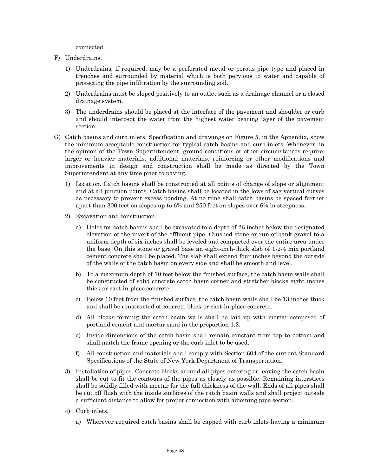connected.

- F) Underdrains.
	- 1) Underdrains, if required, may be a perforated metal or porous pipe type and placed in trenches and surrounded by material which is both pervious to water and capable of protecting the pipe infiltration by the surrounding soil.
	- 2) Underdrains must be sloped positively to an outlet such as a drainage channel or a closed drainage system.
	- 3) The underdrains should be placed at the interface of the pavement and shoulder or curb and should intercept the water from the highest water bearing layer of the pavement section.
- G) Catch basins and curb inlets. Specification and drawings on Figure 5, in the Appendix, show the minimum acceptable construction for typical catch basins and curb inlets. Whenever, in the opinion of the Town Superintendent, ground conditions or other circumstances require, larger or heavier materials, additional materials, reinforcing or other modifications and improvements in design and construction shall be made as directed by the Town Superintendent at any time prior to paving.
	- 1) Location. Catch basins shall be constructed at all points of change of slope or alignment and at all junction points. Catch basins shall be located in the lows of sag vertical curves as necessary to prevent excess ponding. At no time shall catch basins be spaced further apart than 300 feet on slopes up to 6% and 250 feet on slopes over 6% in steepness.
	- 2) Excavation and construction.
		- a) Holes for catch basins shall be excavated to a depth of 26 inches below the designated elevation of the invert of the effluent pipe. Crushed stone or run-of-bank gravel to a uniform depth of six inches shall be leveled and compacted over the entire area under the base. On this stone or gravel base an eight-inch-thick slab of 1-2-4 mix portland cement concrete shall be placed. The slab shall extend four inches beyond the outside of the walls of the catch basin on every side and shall be smooth and level.
		- b) To a maximum depth of 10 feet below the finished surface, the catch basin walls shall be constructed of solid concrete catch basin corner and stretcher blocks eight inches thick or cast-in-place concrete.
		- c) Below 10 feet from the finished surface, the catch basin walls shall be 13 inches thick and shall be constructed of concrete block or cast-in-place concrete.
		- d) All blocks forming the catch basin walls shall be laid up with mortar composed of portland cement and mortar sand in the proportion 1:2.
		- e) Inside dimensions of the catch basin shall remain constant from top to bottom and shall match the frame opening or the curb inlet to be used.
		- f) All construction and materials shall comply with Section 604 of the current Standard Specifications of the State of New York Department of Transportation.
	- 3) Installation of pipes. Concrete blocks around all pipes entering or leaving the catch basin shall be cut to fit the contours of the pipes as closely as possible. Remaining interstices shall be solidly filled with mortar for the full thickness of the wall. Ends of all pipes shall be cut off flush with the inside surfaces of the catch basin walls and shall project outside a sufficient distance to allow for proper connection with adjoining pipe section.
	- 4) Curb inlets.
		- a) Wherever required catch basins shall be capped with curb inlets having a minimum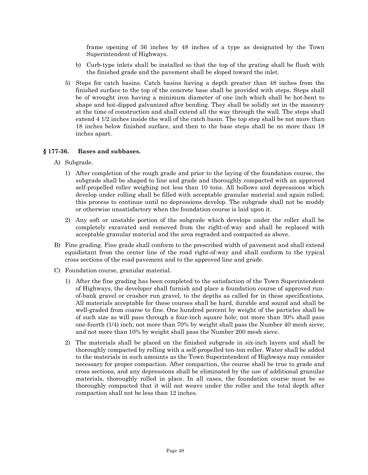frame opening of 36 inches by 48 inches of a type as designated by the Town Superintendent of Highways.

- b) Curb-type inlets shall be installed so that the top of the grating shall be flush with the finished grade and the pavement shall be sloped toward the inlet.
- 5) Steps for catch basins. Catch basins having a depth greater than 48 inches from the finished surface to the top of the concrete base shall be provided with steps. Steps shall be of wrought iron having a minimum diameter of one inch which shall be hot-bent to shape and hot-dipped galvanized after bending. They shall be solidly set in the masonry at the time of construction and shall extend all the way through the wall. The steps shall extend 4 1/2 inches inside the wall of the catch basin. The top step shall be not more than 18 inches below finished surface, and then to the base steps shall be no more than 18 inches apart.

# **§ 177-36. Bases and subbases.**

- A) Subgrade.
	- 1) After completion of the rough grade and prior to the laying of the foundation course, the subgrade shall be shaped to line and grade and thoroughly compacted with an approved self-propelled roller weighing not less than 10 tons. All hollows and depressions which develop under rolling shall be filled with acceptable granular material and again rolled; this process to continue until no depressions develop. The subgrade shall not be muddy or otherwise unsatisfactory when the foundation course is laid upon it.
	- 2) Any soft or unstable portion of the subgrade which develops under the roller shall be completely excavated and removed from the right-of-way and shall be replaced with acceptable granular material and the area regraded and compacted as above.
- B) Fine grading. Fine grade shall conform to the prescribed width of pavement and shall extend equidistant from the center line of the road right-of-way and shall conform to the typical cross sections of the road pavement and to the approved line and grade.
- C) Foundation course, granular material.
	- 1) After the fine grading has been completed to the satisfaction of the Town Superintendent of Highways, the developer shall furnish and place a foundation course of approved runof-bank gravel or crusher run gravel, to the depths as called for in these specifications. All materials acceptable for these courses shall be hard, durable and sound and shall be well-graded from coarse to fine. One hundred percent by weight of the particles shall be of such size as will pass through a four-inch square hole; not more than 30% shall pass one-fourth (1/4) inch; not more than 70% by weight shall pass the Number 40 mesh sieve; and not more than 10% by weight shall pass the Number 200 mesh sieve.
	- 2) The materials shall be placed on the finished subgrade in six-inch layers and shall be thoroughly compacted by rolling with a self-propelled ten-ton roller. Water shall be added to the materials in such amounts as the Town Superintendent of Highways may consider necessary for proper compaction. After compaction, the course shall be true to grade and cross sections, and any depressions shall be eliminated by the use of additional granular materials, thoroughly rolled in place. In all cases, the foundation course must be so thoroughly compacted that it will not weave under the roller and the total depth after compaction shall not be less than 12 inches.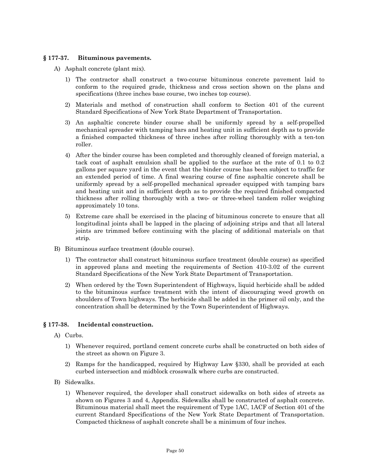# **§ 177-37. Bituminous pavements.**

- A) Asphalt concrete (plant mix).
	- 1) The contractor shall construct a two-course bituminous concrete pavement laid to conform to the required grade, thickness and cross section shown on the plans and specifications (three inches base course, two inches top course).
	- 2) Materials and method of construction shall conform to Section 401 of the current Standard Specifications of New York State Department of Transportation.
	- 3) An asphaltic concrete binder course shall be uniformly spread by a self-propelled mechanical spreader with tamping bars and heating unit in sufficient depth as to provide a finished compacted thickness of three inches after rolling thoroughly with a ten-ton roller.
	- 4) After the binder course has been completed and thoroughly cleaned of foreign material, a tack coat of asphalt emulsion shall be applied to the surface at the rate of 0.1 to 0.2 gallons per square yard in the event that the binder course has been subject to traffic for an extended period of time. A final wearing course of fine asphaltic concrete shall be uniformly spread by a self-propelled mechanical spreader equipped with tamping bars and heating unit and in sufficient depth as to provide the required finished compacted thickness after rolling thoroughly with a two- or three-wheel tandem roller weighing approximately 10 tons.
	- 5) Extreme care shall be exercised in the placing of bituminous concrete to ensure that all longitudinal joints shall be lapped in the placing of adjoining strips and that all lateral joints are trimmed before continuing with the placing of additional materials on that strip.
- B) Bituminous surface treatment (double course).
	- 1) The contractor shall construct bituminous surface treatment (double course) as specified in approved plans and meeting the requirements of Section 410-3.02 of the current Standard Specifications of the New York State Department of Transportation.
	- 2) When ordered by the Town Superintendent of Highways, liquid herbicide shall be added to the bituminous surface treatment with the intent of discouraging weed growth on shoulders of Town highways. The herbicide shall be added in the primer oil only, and the concentration shall be determined by the Town Superintendent of Highways.

# **§ 177-38. Incidental construction.**

- A) Curbs.
	- 1) Whenever required, portland cement concrete curbs shall be constructed on both sides of the street as shown on Figure 3.
	- 2) Ramps for the handicapped, required by Highway Law §330, shall be provided at each curbed intersection and midblock crosswalk where curbs are constructed.
- B) Sidewalks.
	- 1) Whenever required, the developer shall construct sidewalks on both sides of streets as shown on Figures 3 and 4, Appendix. Sidewalks shall be constructed of asphalt concrete. Bituminous material shall meet the requirement of Type 1AC, 1ACF of Section 401 of the current Standard Specifications of the New York State Department of Transportation. Compacted thickness of asphalt concrete shall be a minimum of four inches.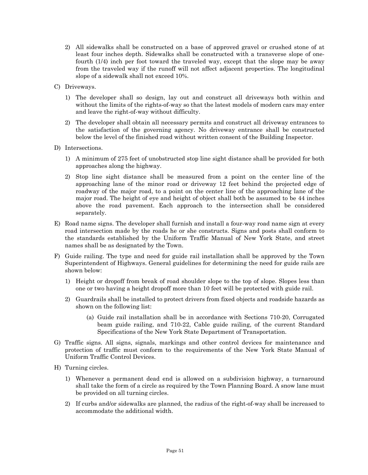- 2) All sidewalks shall be constructed on a base of approved gravel or crushed stone of at least four inches depth. Sidewalks shall be constructed with a transverse slope of onefourth (1/4) inch per foot toward the traveled way, except that the slope may be away from the traveled way if the runoff will not affect adjacent properties. The longitudinal slope of a sidewalk shall not exceed 10%.
- C) Driveways.
	- 1) The developer shall so design, lay out and construct all driveways both within and without the limits of the rights-of-way so that the latest models of modern cars may enter and leave the right-of-way without difficulty.
	- 2) The developer shall obtain all necessary permits and construct all driveway entrances to the satisfaction of the governing agency. No driveway entrance shall be constructed below the level of the finished road without written consent of the Building Inspector.
- D) Intersections.
	- 1) A minimum of 275 feet of unobstructed stop line sight distance shall be provided for both approaches along the highway.
	- 2) Stop line sight distance shall be measured from a point on the center line of the approaching lane of the minor road or driveway 12 feet behind the projected edge of roadway of the major road, to a point on the center line of the approaching lane of the major road. The height of eye and height of object shall both be assumed to be 44 inches above the road pavement. Each approach to the intersection shall be considered separately.
- E) Road name signs. The developer shall furnish and install a four-way road name sign at every road intersection made by the roads he or she constructs. Signs and posts shall conform to the standards established by the Uniform Traffic Manual of New York State, and street names shall be as designated by the Town.
- F) Guide railing. The type and need for guide rail installation shall be approved by the Town Superintendent of Highways. General guidelines for determining the need for guide rails are shown below:
	- 1) Height or dropoff from break of road shoulder slope to the top of slope. Slopes less than one or two having a height dropoff more than 10 feet will be protected with guide rail.
	- 2) Guardrails shall be installed to protect drivers from fixed objects and roadside hazards as shown on the following list:
		- (a) Guide rail installation shall be in accordance with Sections 710-20, Corrugated beam guide railing, and 710-22, Cable guide railing, of the current Standard Specifications of the New York State Department of Transportation.
- G) Traffic signs. All signs, signals, markings and other control devices for maintenance and protection of traffic must conform to the requirements of the New York State Manual of Uniform Traffic Control Devices.
- H) Turning circles.
	- 1) Whenever a permanent dead end is allowed on a subdivision highway, a turnaround shall take the form of a circle as required by the Town Planning Board. A snow lane must be provided on all turning circles.
	- 2) If curbs and/or sidewalks are planned, the radius of the right-of-way shall be increased to accommodate the additional width.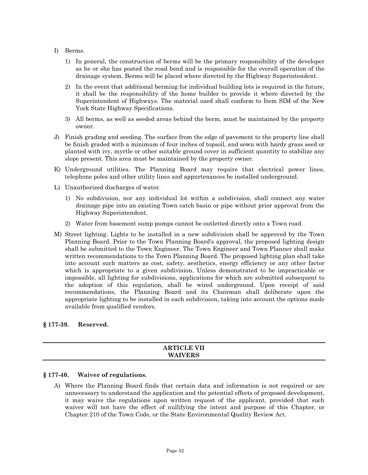- I) Berms.
	- 1) In general, the construction of berms will be the primary responsibility of the developer as he or she has posted the road bond and is responsible for the overall operation of the drainage system. Berms will be placed where directed by the Highway Superintendent.
	- 2) In the event that additional berming for individual building lots is required in the future, it shall be the responsibility of the home builder to provide it where directed by the Superintendent of Highways. The material used shall conform to Item SIM of the New York State Highway Specifications.
	- 3) All berms, as well as seeded areas behind the berm, must be maintained by the property owner.
- J) Finish grading and seeding. The surface from the edge of pavement to the property line shall be finish graded with a minimum of four inches of topsoil, and sown with hardy grass seed or planted with ivy, myrtle or other suitable ground cover in sufficient quantity to stabilize any slope present. This area must be maintained by the property owner.
- K) Underground utilities. The Planning Board may require that electrical power lines, telephone poles and other utility lines and appurtenances be installed underground.
- L) Unauthorized discharges of water.
	- 1) No subdivision, nor any individual lot within a subdivision, shall connect any water drainage pipe into an existing Town catch basin or pipe without prior approval from the Highway Superintendent.
	- 2) Water from basement sump pumps cannot be outletted directly onto a Town road.
- M) Street lighting. Lights to be installed in a new subdivision shall be approved by the Town Planning Board. Prior to the Town Planning Board's approval, the proposed lighting design shall be submitted to the Town Engineer. The Town Engineer and Town Planner shall make written recommendations to the Town Planning Board. The proposed lighting plan shall take into account such matters as cost, safety, aesthetics, energy efficiency or any other factor which is appropriate to a given subdivision. Unless demonstrated to be impracticable or impossible, all lighting for subdivisions, applications for which are submitted subsequent to the adoption of this regulation, shall be wired underground. Upon receipt of said recommendations, the Planning Board and its Chairman shall deliberate upon the appropriate lighting to be installed in each subdivision, taking into account the options made available from qualified vendors.

#### **§ 177-39. Reserved.**

| <b>ARTICLE VII</b>        |  |
|---------------------------|--|
|                           |  |
| <b>IVEDC</b><br><b>WA</b> |  |
|                           |  |

#### **§ 177-40. Waiver of regulations.**

A) Where the Planning Board finds that certain data and information is not required or are unnecessary to understand the application and the potential effects of proposed development, it may waive the regulations upon written request of the applicant, provided that such waiver will not have the effect of nullifying the intent and purpose of this Chapter, or Chapter 210 of the Town Code, or the State Environmental Quality Review Act.